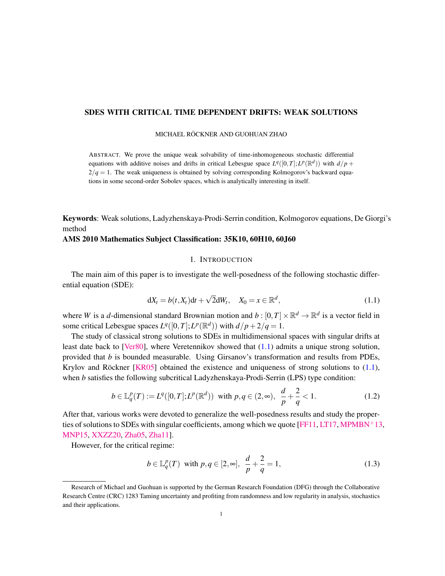# SDES WITH CRITICAL TIME DEPENDENT DRIFTS: WEAK SOLUTIONS

MICHAEL RÖCKNER AND GUOHUAN ZHAO

ABSTRACT. We prove the unique weak solvability of time-inhomogeneous stochastic differential equations with additive noises and drifts in critical Lebesgue space  $L^q([0,T];L^p(\mathbb{R}^d))$  with  $d/p+q$  $2/q = 1$ . The weak uniqueness is obtained by solving corresponding Kolmogorov's backward equations in some second-order Sobolev spaces, which is analytically interesting in itself.

Keywords: Weak solutions, Ladyzhenskaya-Prodi-Serrin condition, Kolmogorov equations, De Giorgi's method

# AMS 2010 Mathematics Subject Classification: 35K10, 60H10, 60J60

# 1. INTRODUCTION

The main aim of this paper is to investigate the well-posedness of the following stochastic differential equation (SDE):

<span id="page-0-0"></span>
$$
dX_t = b(t, X_t)dt + \sqrt{2}dW_t, \quad X_0 = x \in \mathbb{R}^d,
$$
\n(1.1)

where *W* is a *d*-dimensional standard Brownian motion and  $b: [0, T] \times \mathbb{R}^d \to \mathbb{R}^d$  is a vector field in some critical Lebesgue spaces  $L^q([0,T];L^p(\mathbb{R}^d))$  with  $d/p+2/q=1$ .

The study of classical strong solutions to SDEs in multidimensional spaces with singular drifts at least date back to [\[Ver80\]](#page-27-0), where Veretennikov showed that [\(1.1\)](#page-0-0) admits a unique strong solution, provided that *b* is bounded measurable. Using Girsanov's transformation and results from PDEs, Krylov and Röckner  $[KR05]$  $[KR05]$  obtained the existence and uniqueness of strong solutions to  $(1.1)$ , when *b* satisfies the following subcritical Ladyzhenskaya-Prodi-Serrin (LPS) type condition:

<span id="page-0-2"></span>
$$
b \in \mathbb{L}_q^p(T) := L^q([0, T]; L^p(\mathbb{R}^d)) \text{ with } p, q \in (2, \infty), \ \frac{d}{p} + \frac{2}{q} < 1. \tag{1.2}
$$

After that, various works were devoted to generalize the well-posedness results and study the proper-ties of solutions to SDEs with singular coefficients, among which we quote [\[FF11,](#page-26-1) [LT17,](#page-27-1) [MPMBN](#page-27-2)+13, [MNP15,](#page-27-3) [XXZZ20,](#page-27-4) [Zha05,](#page-27-5) [Zha11\]](#page-27-6).

However, for the critical regime:

<span id="page-0-1"></span>
$$
b \in \mathbb{L}_q^p(T)
$$
 with  $p, q \in [2, \infty]$ ,  $\frac{d}{p} + \frac{2}{q} = 1$ , (1.3)

Research of Michael and Guohuan is supported by the German Research Foundation (DFG) through the Collaborative Research Centre (CRC) 1283 Taming uncertainty and profiting from randomness and low regularity in analysis, stochastics and their applications.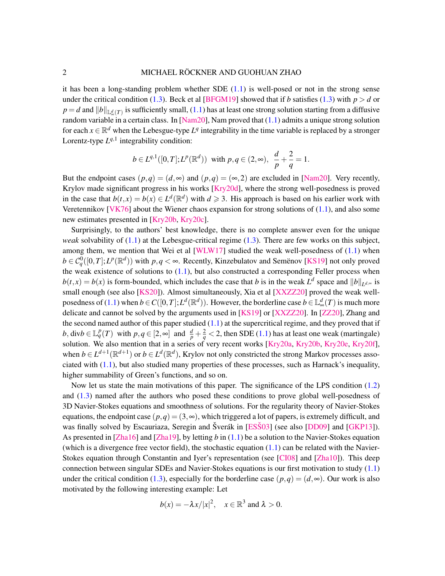it has been a long-standing problem whether SDE [\(1.1\)](#page-0-0) is well-posed or not in the strong sense under the critical condition [\(1.3\)](#page-0-1). Beck et al [\[BFGM19\]](#page-26-2) showed that if *b* satisfies (1.3) with  $p > d$  or  $p = d$  and  $||b||_{\mathbb{L}^d_\infty(T)}$  is sufficiently small, [\(1.1\)](#page-0-0) has at least one strong solution starting from a diffusive random variable in a certain class. In [\[Nam20\]](#page-27-7), Nam proved that [\(1.1\)](#page-0-0) admits a unique strong solution for each  $x \in \mathbb{R}^d$  when the Lebesgue-type  $L^q$  integrability in the time variable is replaced by a stronger Lorentz-type  $L^{q,1}$  integrability condition:

$$
b \in L^{q,1}([0,T];L^p(\mathbb{R}^d))
$$
 with  $p,q \in (2,\infty), \frac{d}{p} + \frac{2}{q} = 1.$ 

But the endpoint cases  $(p,q) = (d, \infty)$  and  $(p,q) = (\infty, 2)$  are excluded in [\[Nam20\]](#page-27-7). Very recently, Krylov made significant progress in his works [\[Kry20d\]](#page-26-3), where the strong well-posedness is proved in the case that  $b(t, x) = b(x) \in L^d(\mathbb{R}^d)$  with  $d \ge 3$ . His approach is based on his earlier work with Veretennikov [\[VK76\]](#page-27-8) about the Wiener chaos expansion for strong solutions of  $(1.1)$ , and also some new estimates presented in [\[Kry20b,](#page-26-4) [Kry20c\]](#page-26-5).

Surprisingly, to the authors' best knowledge, there is no complete answer even for the unique *weak* solvability of [\(1.1\)](#page-0-0) at the Lebesgue-critical regime [\(1.3\)](#page-0-1). There are few works on this subject, among them, we mention that Wei et al [\[WLW17\]](#page-27-9) studied the weak well-posedness of  $(1.1)$  when  $b \in C_q^0([0,T]; L^p(\mathbb{R}^d))$  with  $p, q < \infty$ . Recently, Kinzebulatov and Semenov [[KS19\]](#page-27-10) not only proved the weak existence of solutions to  $(1.1)$ , but also constructed a corresponding Feller process when  $b(t, x) = b(x)$  is form-bounded, which includes the case that *b* is in the weak  $L^d$  space and  $||b||_{L^{d, \infty}}$  is small enough (see also [\[KS20\]](#page-27-11)). Almost simultaneously, Xia et al [\[XXZZ20\]](#page-27-4) proved the weak well-posedness of [\(1.1\)](#page-0-0) when  $b \in C([0, T]; L^d(\mathbb{R}^d))$ . However, the borderline case  $b \in \mathbb{L}_{\infty}^d(T)$  is much more delicate and cannot be solved by the arguments used in [\[KS19\]](#page-27-10) or [\[XXZZ20\]](#page-27-4). In [\[ZZ20\]](#page-28-0), Zhang and the second named author of this paper studied  $(1.1)$  at the supercritical regime, and they proved that if *b*, div $b \in \mathbb{L}_q^p(T)$  with  $p, q \in [2, \infty]$  and  $\frac{d}{p} + \frac{2}{q} < 2$ , then SDE [\(1.1\)](#page-0-0) has at least one weak (martingale) solution. We also mention that in a series of very recent works [\[Kry20a,](#page-26-6) [Kry20b,](#page-26-4) [Kry20e,](#page-27-12) [Kry20f\]](#page-27-13), when  $b \in L^{d+1}(\mathbb{R}^{d+1})$  or  $b \in L^d(\mathbb{R}^d)$ , Krylov not only constricted the strong Markov processes associated with  $(1.1)$ , but also studied many properties of these processes, such as Harnack's inequality, higher summability of Green's functions, and so on.

Now let us state the main motivations of this paper. The significance of the LPS condition [\(1.2\)](#page-0-2) and [\(1.3\)](#page-0-1) named after the authors who posed these conditions to prove global well-posedness of 3D Navier-Stokes equations and smoothness of solutions. For the regularity theory of Navier-Stokes equations, the endpoint case  $(p,q) = (3,\infty)$ , which triggered a lot of papers, is extremely difficult, and was finally solved by Escauriaza, Seregin and Šverák in [ESŠ03] (see also [\[DD09\]](#page-26-8) and [\[GKP13\]](#page-26-9)). As presented in [\[Zha16\]](#page-27-14) and [\[Zha19\]](#page-28-1), by letting *b* in [\(1.1\)](#page-0-0) be a solution to the Navier-Stokes equation (which is a divergence free vector field), the stochastic equation  $(1.1)$  can be related with the Navier-Stokes equation through Constantin and Iyer's representation (see [\[CI08\]](#page-26-10) and [\[Zha10\]](#page-27-15)). This deep connection between singular SDEs and Navier-Stokes equations is our first motivation to study [\(1.1\)](#page-0-0) under the critical condition [\(1.3\)](#page-0-1), especially for the borderline case  $(p,q) = (d, \infty)$ . Our work is also motivated by the following interesting example: Let

$$
b(x) = -\lambda x/|x|^2
$$
,  $x \in \mathbb{R}^3$  and  $\lambda > 0$ .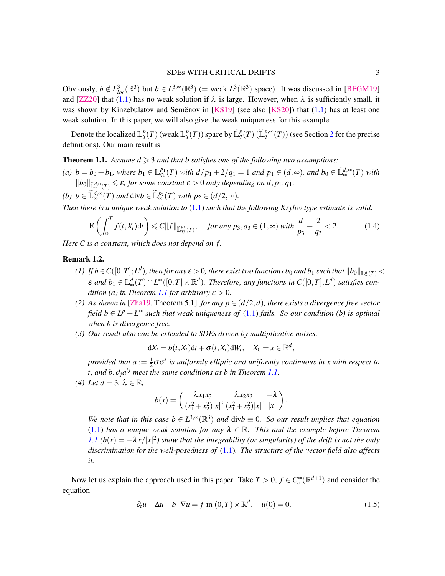## SDEs WITH CRITICAL DRIFTS 3

Obviously,  $b \notin L^3_{loc}(\mathbb{R}^3)$  but  $b \in L^{3,\infty}(\mathbb{R}^3)$  (= weak  $L^3(\mathbb{R}^3)$  space). It was discussed in [\[BFGM19\]](#page-26-2) and [\[ZZ20\]](#page-28-0) that [\(1.1\)](#page-0-0) has no weak solution if  $\lambda$  is large. However, when  $\lambda$  is sufficiently small, it was shown by Kinzebulatov and Semënov in  $[KS19]$  $[KS19]$  (see also  $[KS20]$ ) that  $(1.1)$  has at least one weak solution. In this paper, we will also give the weak uniqueness for this example.

Denote the localized  $\mathbb{L}_q^p(T)$  (weak  $\mathbb{L}_q^p(T)$ ) space by  $\widetilde{\mathbb{L}}_q^p(T)$   $(\widetilde{\mathbb{L}}_q^{p,\infty}(T))$  (see Section [2](#page-3-0) for the precise definitions). Our main result is

<span id="page-2-0"></span>**Theorem 1.1.** Assume  $d \geq 3$  and that b satisfies one of the following two assumptions:

*(a) b* = *b*<sub>0</sub> + *b*<sub>1</sub>*, where b*<sub>1</sub> ∈  $\mathbb{L}_{q_1}^{p_1}(T)$  *with*  $d/p_1 + 2/q_1 = 1$  *and*  $p_1 ∈ (d, ∞)$ *, and*  $b_0 ∈ \widetilde{\mathbb{L}}_{\infty}^{d,∞}(T)$  *with*  $||b_0||_{\tilde{\mathbb{L}}_{\infty}^{d,\infty}(T)} \leq \varepsilon$ , for some constant  $\varepsilon > 0$  only depending on d,  $p_1, q_1$ ;

*(b)*  $b \in \widetilde{\mathbb{L}}_{\infty}^{d, \infty}(T)$  *and*  $\text{div}b \in \widetilde{\mathbb{L}}_{\infty}^{p_2}(T)$  *with*  $p_2 \in (d/2, \infty)$ *.* 

*Then there is a unique weak solution to* [\(1.1\)](#page-0-0) *such that the following Krylov type estimate is valid:*

$$
\mathbf{E}\left(\int_0^T f(t,X_t)\mathrm{d}t\right) \leq C\|f\|_{\widetilde{\mathbb{L}}_{q_3}^{p_3}(T)}, \quad \text{for any } p_3, q_3 \in (1,\infty) \text{ with } \frac{d}{p_3} + \frac{2}{q_3} < 2. \tag{1.4}
$$

*Here C is a constant, which does not depend on f .*

## Remark 1.2.

- *(1)* If  $b \in C([0,T];L^d)$ , then for any  $\varepsilon > 0$ , there exist two functions  $b_0$  and  $b_1$  such that  $\|b_0\|_{\mathbb{L}^d_\infty(T)} <$  $\varepsilon$  and  $b_1 \in \mathbb{L}^d_\infty(T) \cap L^\infty([0,T] \times \mathbb{R}^d)$ . Therefore, any functions in  $C([0,T];L^d)$  satisfies con-*dition (a) in Theorem [1.1](#page-2-0) for arbitrary*  $\varepsilon > 0$ *.*
- *(2)* As shown in [\[Zha19,](#page-28-1) Theorem 5.1]*, for any*  $p \in (d/2, d)$ *, there exists a divergence free vector field*  $b \in L^p + L^{\infty}$  *such that weak uniqueness of* [\(1.1\)](#page-0-0) *fails. So our condition (b) is optimal when b is divergence free.*
- *(3) Our result also can be extended to SDEs driven by multiplicative noises:*

 $dX_t = b(t, X_t)dt + \sigma(t, X_t)dW_t, \quad X_0 = x \in \mathbb{R}^d,$ 

*provided that a* :=  $\frac{1}{2}$ 2 σσ*<sup>t</sup> is uniformly elliptic and uniformly continuous in x with respect to t, and b,*∂<sub>*j</sub>a<sup>i <i>j*</sup> meet the same conditions as b in Theorem [1.1.](#page-2-0)</sub>

*(4) Let*  $d = 3$ ,  $\lambda \in \mathbb{R}$ ,

$$
b(x) = \left(\frac{\lambda x_1 x_3}{(x_1^2 + x_2^2)|x|}, \frac{\lambda x_2 x_3}{(x_1^2 + x_2^2)|x|}, \frac{-\lambda}{|x|}\right).
$$

*We note that in this case*  $b \in L^{3,\infty}(\mathbb{R}^3)$  *and*  $\text{div}b \equiv 0$ *. So our result implies that equation* [\(1.1\)](#page-0-0) *has a unique weak solution for any*  $\lambda \in \mathbb{R}$ . This and the example before Theorem *[1.1](#page-2-0)*  $(b(x) = -\lambda x/|x|^2)$  show that the integrability (or singularity) of the drift is not the only *discrimination for the well-posedness of* [\(1.1\)](#page-0-0)*. The structure of the vector field also affects it.*

Now let us explain the approach used in this paper. Take  $T > 0$ ,  $f \in C_c^{\infty}(\mathbb{R}^{d+1})$  and consider the equation

<span id="page-2-1"></span>
$$
\partial_t u - \Delta u - b \cdot \nabla u = f \text{ in } (0, T) \times \mathbb{R}^d, \quad u(0) = 0. \tag{1.5}
$$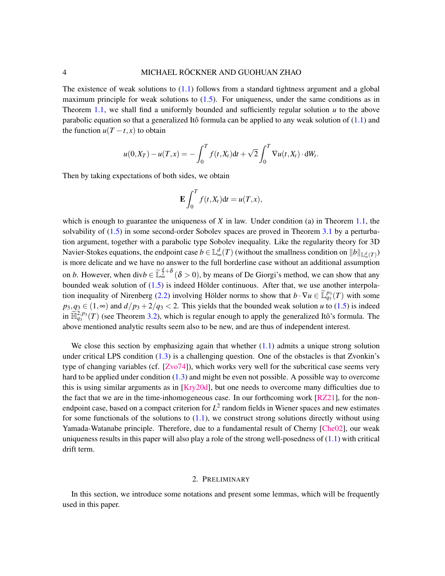The existence of weak solutions to  $(1.1)$  follows from a standard tightness argument and a global maximum principle for weak solutions to  $(1.5)$ . For uniqueness, under the same conditions as in Theorem [1.1,](#page-2-0) we shall find a uniformly bounded and sufficiently regular solution  $u$  to the above parabolic equation so that a generalized Itô formula can be applied to any weak solution of  $(1.1)$  $(1.1)$  and the function  $u(T - t, x)$  to obtain

$$
u(0, X_T) - u(T, x) = -\int_0^T f(t, X_t) dt + \sqrt{2} \int_0^T \nabla u(t, X_t) \cdot dW_t.
$$

Then by taking expectations of both sides, we obtain

$$
\mathbf{E} \int_0^T f(t, X_t) \mathrm{d}t = u(T, x),
$$

which is enough to guarantee the uniqueness of  $X$  in law. Under condition (a) in Theorem [1.1,](#page-2-0) the solvability of [\(1.5\)](#page-2-1) in some second-order Sobolev spaces are proved in Theorem [3.1](#page-9-0) by a perturbation argument, together with a parabolic type Sobolev inequality. Like the regularity theory for 3D Navier-Stokes equations, the endpoint case  $b \in \mathbb{L}_{\infty}^d(T)$  (without the smallness condition on  $\|b\|_{\mathbb{L}_{\infty}^d(T)}$ ) is more delicate and we have no answer to the full borderline case without an additional assumption on *b*. However, when div $b \in \tilde{\mathbb{L}}_{\infty}^{\frac{d}{2}+\delta}$  ( $\delta > 0$ ), by means of De Giorgi's method, we can show that any bounded weak solution of  $(1.5)$  is indeed Hölder continuous. After that, we use another interpola-tion inequality of Nirenberg [\(2.2\)](#page-5-0) involving Hölder norms to show that  $b \cdot \nabla u \in \tilde{\mathbb{L}}_{q_3}^{p_3}(T)$  with some  $p_3, q_3 \in (1, \infty)$  and  $d/p_3 + 2/q_3 < 2$ . This yields that the bounded weak solution *u* to [\(1.5\)](#page-2-1) is indeed in  $\widetilde{\mathbb{H}}_{q_3}^{2,p_3}(T)$  (see Theorem [3.2\)](#page-10-0), which is regular enough to apply the generalized Itô's formula. The above mentioned analytic results seem also to be new, and are thus of independent interest.

We close this section by emphasizing again that whether  $(1.1)$  admits a unique strong solution under critical LPS condition [\(1.3\)](#page-0-1) is a challenging question. One of the obstacles is that Zvonkin's type of changing variables (cf. [\[Zvo74\]](#page-28-2)), which works very well for the subcritical case seems very hard to be applied under condition [\(1.3\)](#page-0-1) and might be even not possible. A possible way to overcome this is using similar arguments as in [\[Kry20d\]](#page-26-3), but one needs to overcome many difficulties due to the fact that we are in the time-inhomogeneous case. In our forthcoming work [\[RZ21\]](#page-27-16), for the nonendpoint case, based on a compact criterion for *L* 2 random fields in Wiener spaces and new estimates for some functionals of the solutions to  $(1.1)$ , we construct strong solutions directly without using Yamada-Watanabe principle. Therefore, due to a fundamental result of Cherny [\[Che02\]](#page-26-11), our weak uniqueness results in this paper will also play a role of the strong well-posedness of  $(1.1)$  with critical drift term.

## 2. PRELIMINARY

<span id="page-3-0"></span>In this section, we introduce some notations and present some lemmas, which will be frequently used in this paper.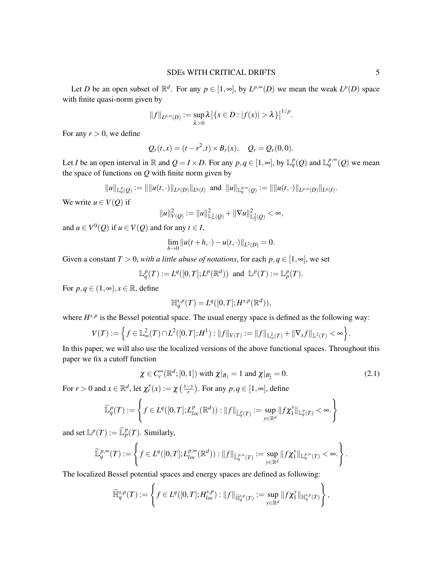Let *D* be an open subset of  $\mathbb{R}^d$ . For any  $p \in [1, \infty]$ , by  $L^{p,\infty}(D)$  we mean the weak  $L^p(D)$  space with finite quasi-norm given by

$$
||f||_{L^{p,\infty}(D)} := \sup_{\lambda > 0} \lambda | \{x \in D : |f(x)| > \lambda \} |^{1/p}.
$$

For any  $r > 0$ , we define

$$
Q_r(t,x) = (t - r^2, t) \times B_r(x), \quad Q_r = Q_r(0,0).
$$

Let *I* be an open interval in  $\mathbb R$  and  $Q = I \times D$ . For any  $p, q \in [1, \infty]$ , by  $\mathbb L_q^p(Q)$  and  $\mathbb L_q^{p, \infty}(Q)$  we mean the space of functions on *Q* with finite norm given by

$$
||u||_{\mathbb{L}_q^p(Q)} := ||||u(t,\cdot)||_{L^p(D)}||_{L^q(I)} \text{ and } ||u||_{\mathbb{L}_q^{p,\infty}(Q)} := ||||u(t,\cdot)||_{L^{p,\infty}(D)}||_{L^q(I)}.
$$

We write  $u \in V(O)$  if

$$
||u||_{V(Q)}^2 := ||u||_{\mathbb{L}^2_{\infty}(Q)}^2 + ||\nabla u||_{\mathbb{L}^2_2(Q)}^2 < \infty,
$$

and  $u \in V^0(Q)$  if  $u \in V(Q)$  and for any  $t \in I$ ,

$$
\lim_{h\to 0}||u(t+h,\cdot)-u(t,\cdot)||_{L^2(D)}=0.
$$

Given a constant  $T > 0$ , *with a little abuse of notations*, for each  $p, q \in [1, \infty]$ , we set

 $\mathbb{L}_q^p(T) := L^q([0,T]; L^p(\mathbb{R}^d))$  and  $\mathbb{L}^p(T) := \mathbb{L}_p^p(T)$ .

For  $p, q \in (1, \infty), s \in \mathbb{R}$ , define

$$
\mathbb{H}_q^{s,p}(T)=L^q([0,T];H^{s,p}(\mathbb{R}^d)),
$$

where  $H^{s,p}$  is the Bessel potential space. The usual energy space is defined as the following way:

$$
V(T) := \Big\{ f \in \mathbb{L}^2_{\infty}(T) \cap L^2([0,T];H^1) : ||f||_{V(T)} := ||f||_{\mathbb{L}^2_{\infty}(T)} + ||\nabla_x f||_{\mathbb{L}^2(T)} < \infty \Big\}.
$$

In this paper, we will also use the localized versions of the above functional spaces. Throughout this paper we fix a cutoff function

<span id="page-4-0"></span>
$$
\chi \in C_c^{\infty}(\mathbb{R}^d;[0,1]) \text{ with } \chi|_{B_1} = 1 \text{ and } \chi|_{B_2^c} = 0. \tag{2.1}
$$

For  $r > 0$  and  $x \in \mathbb{R}^d$ , let  $\chi_r^y(x) := \chi\left(\frac{x-y}{r}\right)$  $\left(\frac{-y}{r}\right)$ . For any  $p, q \in [1, \infty]$ , define

$$
\widetilde{\mathbb{L}}_q^p(T) := \left\{ f \in L^q([0,T]; L^p_{loc}(\mathbb{R}^d)): \|f\|_{\widetilde{\mathbb{L}}_q^p(T)} := \sup_{y \in \mathbb{R}^d} \|f\chi_1^y\|_{\mathbb{L}_q^p(T)} < \infty. \right\}
$$

and set  $\mathbb{L}^p(T) := \widetilde{\mathbb{L}}_p^p(T)$ . Similarly,

$$
\widetilde{\mathbb{L}}_q^{p,\infty}(T):=\left\{f\in L^q([0,T];L^{p,\infty}_{loc}(\mathbb{R}^d)): \|f\|_{\widetilde{\mathbb{L}}_q^{p,\infty}(T)}:=\sup_{y\in\mathbb{R}^d}\|f\chi_1^y\|_{\mathbb{L}_q^{p,\infty}(T)}<\infty.\right\}.
$$

The localized Bessel potential spaces and energy spaces are defined as following:

$$
\widetilde{\mathbb{H}}_q^{s,p}(T):=\left\{f\in L^q([0,T];H_{loc}^{s,p}):||f||_{\widetilde{\mathbb{H}}_q^{s,p}(T)}:=\sup_{y\in\mathbb{R}^d}||f\chi_1^y||_{\mathbb{H}_q^{s,p}(T)}\right\},\,
$$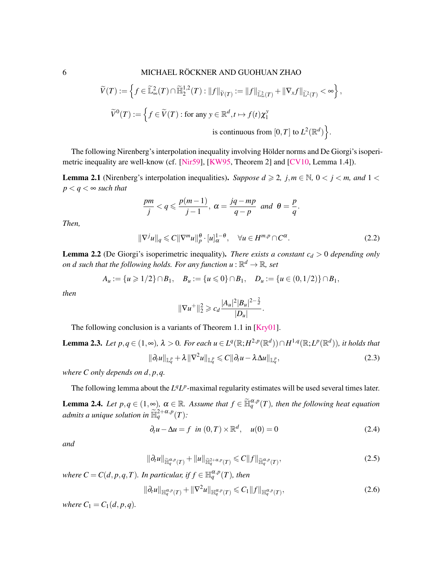# 6 MICHAEL RÖCKNER AND GUOHUAN ZHAO

$$
\widetilde{V}(T) := \left\{ f \in \widetilde{\mathbb{L}}_{\infty}^2(T) \cap \widetilde{\mathbb{H}}_2^{1,2}(T) : ||f||_{\widetilde{V}(T)} := ||f||_{\widetilde{\mathbb{L}}_{\infty}^2(T)} + ||\nabla_x f||_{\widetilde{\mathbb{L}}^2(T)} < \infty \right\},\
$$
\n
$$
\widetilde{V}^0(T) := \left\{ f \in \widetilde{V}(T) : \text{for any } y \in \mathbb{R}^d, t \mapsto f(t)\chi_1^y \right\}
$$
\nis continuous from  $[0, T]$  to  $L^2(\mathbb{R}^d)$ .

The following Nirenberg's interpolation inequality involving Hölder norms and De Giorgi's isoperimetric inequality are well-know (cf. [\[Nir59\]](#page-27-17), [\[KW95,](#page-27-18) Theorem 2] and [\[CV10,](#page-26-12) Lemma 1.4]).

**Lemma 2.1** (Nirenberg's interpolation inequalities). *Suppose*  $d \ge 2$ *, j,m*  $\in \mathbb{N}$ ,  $0 < j < m$ , and  $1 < j$  $p < q < \infty$  *such that* 

$$
\frac{pm}{j} < q \leqslant \frac{p(m-1)}{j-1}, \ \alpha = \frac{jq - mp}{q - p} \ \ and \ \ \theta = \frac{p}{q}.
$$

*Then,*

<span id="page-5-0"></span>
$$
\|\nabla^j u\|_q \leqslant C\|\nabla^m u\|_p^{\theta} \cdot [u]_{\alpha}^{1-\theta}, \quad \forall u \in H^{m,p} \cap C^{\alpha}.
$$
 (2.2)

<span id="page-5-5"></span>**Lemma 2.2** (De Giorgi's isoperimetric inequality). *There exists a constant*  $c_d > 0$  *depending only on d such that the following holds. For any function*  $u : \mathbb{R}^d \to \mathbb{R}$ *, set* 

$$
A_u := \{u \geq 1/2\} \cap B_1, \quad B_u := \{u \leq 0\} \cap B_1, \quad D_u := \{u \in (0, 1/2)\} \cap B_1,
$$

*then*

<span id="page-5-3"></span>
$$
\|\nabla u^+\|_2^2 \geqslant c_d \frac{|A_u|^2 |B_u|^{2-\frac{2}{d}}}{|D_u|}.
$$

The following conclusion is a variants of Theorem 1.1 in [\[Kry01\]](#page-26-13).

**Lemma 2.3.** Let  $p, q \in (1, \infty)$ ,  $\lambda > 0$ . For each  $u \in L^q(\mathbb{R}; H^{2,p}(\mathbb{R}^d)) \cap H^{1,q}(\mathbb{R}; L^p(\mathbb{R}^d))$ , it holds that  $\| \partial_t u \|_{\mathbb{L}^p_q} + \lambda \|\nabla^2 u\|_{\mathbb{L}^p_q} \leqslant C \|\partial_t u - \lambda \Delta u\|_{\mathbb{L}^p_q}$  $(2.3)$ 

*where C only depends on d*, *p*,*q.*

<span id="page-5-4"></span>The following lemma about the  $L^{q}L^{p}$ -maximal regularity estimates will be used several times later. **Lemma 2.4.** *Let*  $p, q \in (1, \infty)$ ,  $\alpha \in \mathbb{R}$ . Assume that  $f \in \widetilde{\mathbb{H}}_q^{\alpha, p}(T)$ , then the following heat equation *admits a unique solution in*  $\widetilde{\mathbb{H}}_q^{2+\alpha,p}(T)$ *:* 

<span id="page-5-2"></span>
$$
\partial_t u - \Delta u = f \quad \text{in } (0, T) \times \mathbb{R}^d, \quad u(0) = 0 \tag{2.4}
$$

*and*

$$
\|\partial_t u\|_{\widetilde{\mathbb{H}}_q^{\alpha,p}(T)} + \|u\|_{\widetilde{\mathbb{H}}_q^{2+\alpha,p}(T)} \leq C \|f\|_{\widetilde{\mathbb{H}}_q^{\alpha,p}(T)},\tag{2.5}
$$

*where*  $C = C(d, p, q, T)$ *. In particular, if*  $f \in \mathbb{H}_q^{\alpha, p}(T)$ *, then* 

<span id="page-5-1"></span>
$$
\|\partial_t u\|_{\mathbb{H}^{\alpha,p}_q(T)} + \|\nabla^2 u\|_{\mathbb{H}^{\alpha,p}_q(T)} \leqslant C_1 \|f\|_{\mathbb{H}^{\alpha,p}_q(T)},\tag{2.6}
$$

*where*  $C_1 = C_1(d, p, q)$ *.*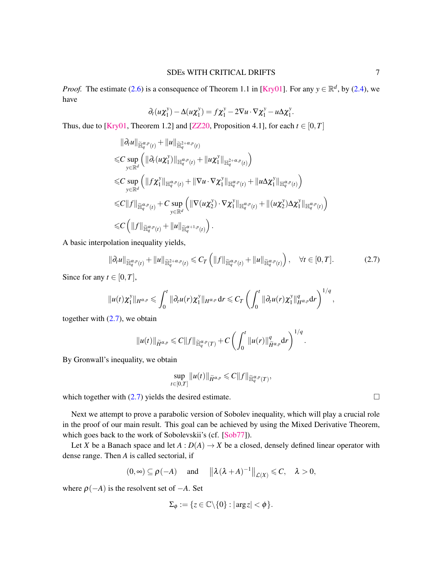*Proof.* The estimate [\(2.6\)](#page-5-1) is a consequence of Theorem 1.1 in [\[Kry01\]](#page-26-13). For any  $y \in \mathbb{R}^d$ , by [\(2.4\)](#page-5-2), we have

$$
\partial_t(u\chi_1^y) - \Delta(u\chi_1^y) = f\chi_1^y - 2\nabla u \cdot \nabla \chi_1^y - u\Delta \chi_1^y.
$$

Thus, due to [\[Kry01,](#page-26-13) Theorem 1.2] and [\[ZZ20,](#page-28-0) Proposition 4.1], for each  $t \in [0, T]$ 

$$
\|\partial_t u\|_{\widetilde{\mathbb{H}}_q^{\alpha, p}(t)} + \|u\|_{\widetilde{\mathbb{H}}_q^{\alpha, p}(t)} \n\leq C \sup_{y \in \mathbb{R}^d} \left( \|\partial_t (u\chi_1^y)\|_{\mathbb{H}_q^{\alpha, p}(t)} + \|u\chi_1^y\|_{\mathbb{H}_q^{2+\alpha, p}(t)} \right) \n\leq C \sup_{y \in \mathbb{R}^d} \left( \|f\chi_1^y\|_{\mathbb{H}_q^{\alpha, p}(t)} + \|\nabla u \cdot \nabla \chi_1^y\|_{\mathbb{H}_q^{\alpha, p}(t)} + \|u\Delta \chi_1^y\|_{\mathbb{H}_q^{\alpha, p}(t)} \right) \n\leq C \|f\|_{\widetilde{\mathbb{H}}_q^{\alpha, p}(t)} + C \sup_{y \in \mathbb{R}^d} \left( \|\nabla (u\chi_2^y) \cdot \nabla \chi_1^y\|_{\mathbb{H}_q^{\alpha, p}(t)} + \| (u\chi_2^y) \Delta \chi_1^y\|_{\mathbb{H}_q^{\alpha, p}(t)} \right) \n\leq C \left( \|f\|_{\widetilde{\mathbb{H}}_q^{\alpha, p}(t)} + \|u\|_{\widetilde{\mathbb{H}}_q^{\alpha+1, p}(t)} \right).
$$

A basic interpolation inequality yields,

$$
\|\partial_t u\|_{\widetilde{\mathbb{H}}_q^{\alpha, p}(t)} + \|u\|_{\widetilde{\mathbb{H}}_q^{2+\alpha, p}(t)} \leqslant C_T \left( \|f\|_{\widetilde{\mathbb{H}}_q^{\alpha, p}(t)} + \|u\|_{\widetilde{\mathbb{H}}_q^{\alpha, p}(t)} \right), \quad \forall t \in [0, T]. \tag{2.7}
$$

Since for any  $t \in [0, T]$ ,

$$
\|u(t)\chi_1^y\|_{H^{\alpha,p}}\leqslant \int_0^t\|\partial_t u(r)\chi_1^y\|_{H^{\alpha,p}}\,dr\leqslant C_T\left(\int_0^t\|\partial_t u(r)\chi_1^y\|_{H^{\alpha,p}}^qdr\right)^{1/q}
$$

together with  $(2.7)$ , we obtain

$$
||u(t)||_{\widetilde{H}^{\alpha,p}} \leq C||f||_{\widetilde{\mathbb{H}}_q^{\alpha,p}(T)} + C\left(\int_0^t ||u(r)||_{\widetilde{H}^{\alpha,p}}^q dr\right)^{1/q}.
$$

By Gronwall's inequality, we obtain

$$
\sup_{t\in[0,T]}\|u(t)\|_{\widetilde{H}^{\alpha,p}}\leqslant C\|f\|_{\widetilde{\mathbb{H}}_{q}^{\alpha,p}(T)},
$$

which together with  $(2.7)$  yields the desired estimate.

Next we attempt to prove a parabolic version of Sobolev inequality, which will play a crucial role in the proof of our main result. This goal can be achieved by using the Mixed Derivative Theorem, which goes back to the work of Sobolevskii's (cf. [\[Sob77\]](#page-27-19)).

Let *X* be a Banach space and let  $A: D(A) \to X$  be a closed, densely defined linear operator with dense range. Then *A* is called sectorial, if

$$
(0, \infty) \subseteq \rho(-A)
$$
 and  $\|\lambda(\lambda + A)^{-1}\|_{\mathcal{L}(X)} \leq C, \lambda > 0,$ 

where  $\rho(-A)$  is the resolvent set of  $-A$ . Set

$$
\Sigma_{\phi} := \{ z \in \mathbb{C} \backslash \{0\} : |\arg z| < \phi \}.
$$

<span id="page-6-0"></span>,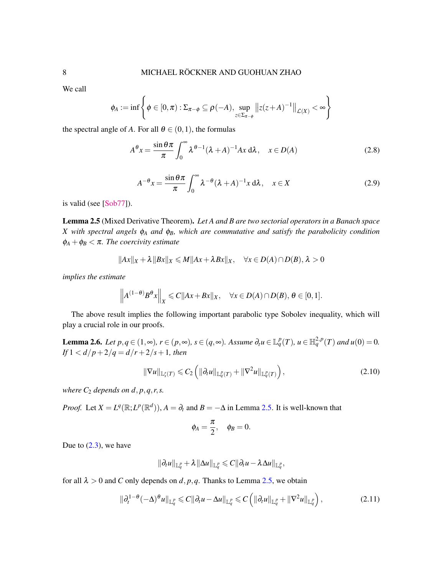We call

$$
\phi_A := \inf \left\{ \phi \in [0, \pi) : \Sigma_{\pi-\phi} \subseteq \rho(-A), \sup_{z \in \Sigma_{\pi-\phi}} \left\| z(z+A)^{-1} \right\|_{\mathcal{L}(X)} < \infty \right\}
$$

the spectral angle of *A*. For all  $\theta \in (0,1)$ , the formulas

$$
A^{\theta}x = \frac{\sin \theta \pi}{\pi} \int_0^{\infty} \lambda^{\theta-1} (\lambda + A)^{-1} Ax \, d\lambda, \quad x \in D(A)
$$
 (2.8)

<span id="page-7-1"></span>
$$
A^{-\theta}x = \frac{\sin \theta \pi}{\pi} \int_0^\infty \lambda^{-\theta} (\lambda + A)^{-1} x \, d\lambda, \quad x \in X
$$
 (2.9)

is valid (see [\[Sob77\]](#page-27-19)).

<span id="page-7-0"></span>Lemma 2.5 (Mixed Derivative Theorem). *Let A and B are two sectorial operators in a Banach space X with spectral angels* φ*<sup>A</sup> and* φ*B, which are commutative and satisfy the parabolicity condition*  $\phi_A + \phi_B < \pi$ . The coercivity estimate

$$
||Ax||_X + \lambda ||Bx||_X \le M||Ax + \lambda Bx||_X, \quad \forall x \in D(A) \cap D(B), \lambda > 0
$$

*implies the estimate*

$$
\left\|A^{(1-\theta)}B^{\theta}x\right\|_{X} \leq C\|Ax+Bx\|_{X}, \quad \forall x \in D(A) \cap D(B), \ \theta \in [0,1].
$$

The above result implies the following important parabolic type Sobolev inequality, which will play a crucial role in our proofs.

**Lemma 2.6.** Let  $p, q \in (1, \infty)$ ,  $r \in (p, \infty)$ ,  $s \in (q, \infty)$ . Assume  $\partial_t u \in \mathbb{L}_q^p(T)$ ,  $u \in \mathbb{H}_q^{2,p}(T)$  and  $u(0) = 0$ . *If*  $1 < d/p + 2/q = d/r + 2/s + 1$ *, then* 

<span id="page-7-3"></span>
$$
\|\nabla u\|_{\mathbb{L}_s^r(T)} \leqslant C_2 \left( \|\partial_t u\|_{\mathbb{L}_q^p(T)} + \|\nabla^2 u\|_{\mathbb{L}_q^p(T)} \right),\tag{2.10}
$$

*where*  $C_2$  *depends on d, p, q, r, s.* 

*Proof.* Let  $X = L^q(\mathbb{R}; L^p(\mathbb{R}^d))$ ,  $A = \partial_t$  and  $B = -\Delta$  in Lemma [2.5.](#page-7-0) It is well-known that

<span id="page-7-2"></span>
$$
\phi_A = \frac{\pi}{2}, \quad \phi_B = 0.
$$

Due to  $(2.3)$ , we have

$$
\|\partial_t u\|_{{\mathbb L}^p_q} + \lambda \|\Delta u\|_{{\mathbb L}^p_q} \leqslant C \|\partial_t u - \lambda \Delta u\|_{{\mathbb L}^p_q},
$$

for all  $\lambda > 0$  and *C* only depends on *d*, *p*, *q*. Thanks to Lemma [2.5,](#page-7-0) we obtain

$$
\|\partial_t^{1-\theta}(-\Delta)^{\theta}u\|_{{\mathbb L}^p_q}\leq C\|\partial_tu-\Delta u\|_{{\mathbb L}^p_q}\leq C\left(\|\partial_tu\|_{{\mathbb L}^p_q}+\|\nabla^2u\|_{{\mathbb L}^p_q}\right),\tag{2.11}
$$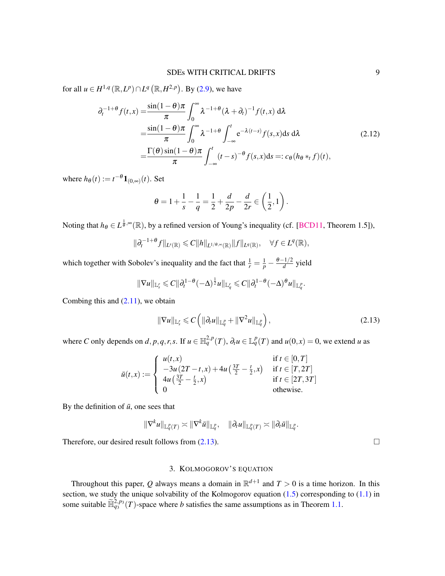for all  $u \in H^{1,q}(\mathbb{R}, L^p) \cap L^q(\mathbb{R}, H^{2,p})$ . By [\(2.9\)](#page-7-1), we have

$$
\partial_t^{-1+\theta} f(t,x) = \frac{\sin(1-\theta)\pi}{\pi} \int_0^\infty \lambda^{-1+\theta} (\lambda + \partial_t)^{-1} f(t,x) d\lambda
$$
  
\n
$$
= \frac{\sin(1-\theta)\pi}{\pi} \int_0^\infty \lambda^{-1+\theta} \int_{-\infty}^t e^{-\lambda(t-s)} f(s,x) ds d\lambda
$$
  
\n
$$
= \frac{\Gamma(\theta)\sin(1-\theta)\pi}{\pi} \int_{-\infty}^t (t-s)^{-\theta} f(s,x) ds =: c_\theta (h_\theta *_t f)(t),
$$
\n(2.12)

where  $h_{\theta}(t) := t^{-\theta} \mathbf{1}_{(0,\infty)}(t)$ . Set

$$
\theta = 1 + \frac{1}{s} - \frac{1}{q} = \frac{1}{2} + \frac{d}{2p} - \frac{d}{2r} \in \left(\frac{1}{2}, 1\right).
$$

Noting that  $h_\theta \in L^{\frac{1}{\theta}, \infty}(\mathbb{R})$ , by a refined version of Young's inequality (cf. [\[BCD11,](#page-26-14) Theorem 1.5]),

$$
\|\partial_t^{-1+\theta}f\|_{L^s(\mathbb{R})}\leqslant C\|h\|_{L^{1/\theta,\infty}(\mathbb{R})}\|f\|_{L^q(\mathbb{R})},\quad\forall f\in L^q(\mathbb{R}),
$$

which together with Sobolev's inequality and the fact that  $\frac{1}{r} = \frac{1}{p} - \frac{\theta - 1/2}{d}$  $\frac{d}{d}$  yield

$$
\|\nabla u\|_{\mathbb{L}_s^r}\leqslant C\|\partial_t^{1-\theta}(-\Delta)^{\frac{1}{2}}u\|_{\mathbb{L}_q^r}\leqslant C\|\partial_t^{1-\theta}(-\Delta)^{\theta}u\|_{\mathbb{L}_q^p}.
$$

Combing this and  $(2.11)$ , we obtain

<span id="page-8-0"></span>
$$
\|\nabla u\|_{\mathbb{L}_s^r} \leqslant C\left(\|\partial_t u\|_{\mathbb{L}_q^p} + \|\nabla^2 u\|_{\mathbb{L}_q^p}\right),\tag{2.13}
$$

where C only depends on  $d, p, q, r, s$ . If  $u \in \mathbb{H}_q^{2,p}(T)$ ,  $\partial_t u \in \mathbb{L}_q^p(T)$  and  $u(0,x) = 0$ , we extend u as

$$
\bar{u}(t,x) := \begin{cases}\n u(t,x) & \text{if } t \in [0,T] \\
-3u(2T-t,x) + 4u(\frac{3T}{2} - \frac{t}{2},x) & \text{if } t \in [T,2T] \\
4u(\frac{3T}{2} - \frac{t}{2},x) & \text{if } t \in [2T,3T] \\
0 & \text{otherwise.} \n\end{cases}
$$

By the definition of  $\bar{u}$ , one sees that

$$
\|\nabla^k u\|_{{\mathbb L}^p_q(T)}\asymp \|\nabla^k \bar u\|_{{\mathbb L}^p_q},\quad \|\partial_t u\|_{{\mathbb L}^p_q(T)}\asymp \|\partial_t \bar u\|_{{\mathbb L}^p_q}.
$$

Therefore, our desired result follows from  $(2.13)$ .

# 3. KOLMOGOROV'S EQUATION

Throughout this paper, Q always means a domain in  $\mathbb{R}^{d+1}$  and  $T > 0$  is a time horizon. In this section, we study the unique solvability of the Kolmogorov equation  $(1.5)$  corresponding to  $(1.1)$  in some suitable  $\widetilde{\mathbb{H}}_{q_3}^{2,p_3}(T)$ -space where *b* satisfies the same assumptions as in Theorem [1.1.](#page-2-0)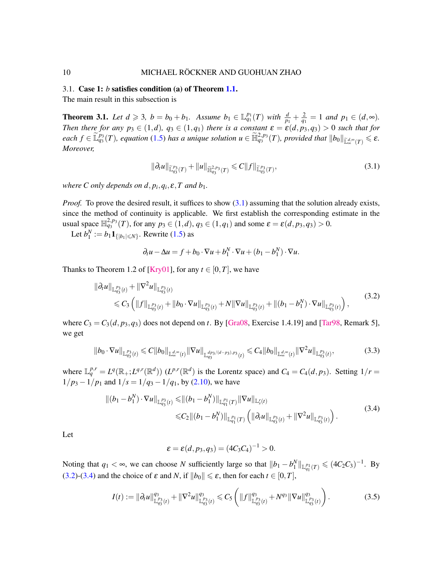## 3.1. Case 1: *b* satisfies condition (a) of Theorem [1.1.](#page-2-0)

The main result in this subsection is

<span id="page-9-0"></span>**Theorem 3.1.** Let  $d \ge 3$ ,  $b = b_0 + b_1$ . Assume  $b_1 \in \mathbb{L}_{q_1}^{p_1}(T)$  with  $\frac{d}{p_1} + \frac{2}{q_1} = 1$  and  $p_1 \in (d, \infty)$ . *Then there for any*  $p_3 \in (1,d)$ ,  $q_3 \in (1,q_1)$  *there is a constant*  $\varepsilon = \varepsilon(d, p_3, q_3) > 0$  *such that for each*  $f \in \widetilde{\mathbb{L}}_{q_3}^{p_3}(T)$ , equation [\(1.5\)](#page-2-1) has a unique solution  $u \in \widetilde{\mathbb{H}}_{q_3}^{2,p_3}(T)$ , provided that  $||b_0||_{\widetilde{\mathbb{L}}_{\infty}^{d, \infty}(T)} \leq \varepsilon$ . *Moreover,*

<span id="page-9-1"></span>
$$
\|\partial_t u\|_{\widetilde{\mathbb{L}}_{q_3}^{p_3}(T)} + \|u\|_{\widetilde{\mathbb{H}}_{q_3}^{2,p_3}(T)} \leq C \|f\|_{\widetilde{\mathbb{L}}_{q_3}^{p_3}(T)},\tag{3.1}
$$

*where C only depends on d,*  $p_i$ *,*  $q_i$ *,*  $\varepsilon$ *, T and*  $b_1$ *.* 

*Proof.* To prove the desired result, it suffices to show [\(3.1\)](#page-9-1) assuming that the solution already exists, since the method of continuity is applicable. We first establish the corresponding estimate in the usual space  $\mathbb{H}_{q_3}^{2,p_3}(T)$ , for any  $p_3 \in (1,d)$ ,  $q_3 \in (1,q_1)$  and some  $\varepsilon = \varepsilon(d, p_3, q_3) > 0$ .

Let  $b_1^N := b_1 \mathbf{1}_{\{|b_1| \le N\}}$ . Rewrite [\(1.5\)](#page-2-1) as

<span id="page-9-2"></span>
$$
\partial_t u - \Delta u = f + b_0 \cdot \nabla u + b_1^N \cdot \nabla u + (b_1 - b_1^N) \cdot \nabla u.
$$

Thanks to Theorem 1.2 of [\[Kry01\]](#page-26-13), for any  $t \in [0, T]$ , we have

$$
\|\partial_t u\|_{\mathbb{L}_{q_3}^{p_3}(t)} + \|\nabla^2 u\|_{\mathbb{L}_{q_3}^{p_3}(t)} + b_0 \cdot \nabla u\|_{\mathbb{L}_{q_3}^{p_3}(t)} + N\|\nabla u\|_{\mathbb{L}_{q_3}^{p_3}(t)} + \|(b_1 - b_1^N) \cdot \nabla u\|_{\mathbb{L}_{q_3}^{p_3}(t)}\big),
$$
\n(3.2)

where  $C_3 = C_3(d, p_3, q_3)$  does not depend on *t*. By [\[Gra08,](#page-26-15) Exercise 1.4.19] and [\[Tar98,](#page-27-20) Remark 5], we get

$$
||b_0 \cdot \nabla u||_{\mathbb{L}_{q_3}^{p_3}(t)} \leq C ||b_0||_{\mathbb{L}_{\infty}^{d, \infty}(t)} ||\nabla u||_{\mathbb{L}_{q_3}^{dp_3/(d-p_3), p_3}(t)} \leq C_4 ||b_0||_{\mathbb{L}_{\infty}^{d, \infty}(t)} ||\nabla^2 u||_{\mathbb{L}_{q_3}^{p_3}(t)},
$$
\n(3.3)

where  $\mathbb{L}_q^{p,r} = L^q(\mathbb{R}_+; L^{q,r}(\mathbb{R}^d))$  ( $L^{p,r}(\mathbb{R}^d)$  is the Lorentz space) and  $C_4 = C_4(d, p_3)$ . Setting  $1/r =$  $1/p_3 - 1/p_1$  and  $1/s = 1/q_3 - 1/q_1$ , by [\(2.10\)](#page-7-3), we have

$$
\begin{split} \|(b_1 - b_1^N) \cdot \nabla u\|_{\mathbb{L}_{q_3}^{p_3}(t)} &\leq \| (b_1 - b_1^N) \|_{\mathbb{L}_{q_1}^{p_1}(T)} \|\nabla u\|_{\mathbb{L}_{q_1}^r(t)} \\ &\leq C_2 \|(b_1 - b_1^N) \|_{\mathbb{L}_{q_1}^{p_1}(T)} \left( \|\partial_t u\|_{\mathbb{L}_{q_3}^{p_3}(t)} + \|\nabla^2 u\|_{\mathbb{L}_{q_3}^{p_3}(t)} \right). \end{split} \tag{3.4}
$$

Let

<span id="page-9-4"></span><span id="page-9-3"></span>
$$
\varepsilon = \varepsilon(d, p_3, q_3) = (4C_3C_4)^{-1} > 0.
$$

Noting that  $q_1 < \infty$ , we can choose *N* sufficiently large so that  $||b_1 - b_1^N||_{\mathbb{L}^{p_1}_{q_1}(T)} \leq (4C_2C_3)^{-1}$ . By [\(3.2\)](#page-9-2)-[\(3.4\)](#page-9-3) and the choice of  $\varepsilon$  and *N*, if  $||b_0|| \le \varepsilon$ , then for each  $t \in [0, T]$ ,

$$
I(t) := \|\partial_t u\|_{\mathbb{L}_{q_3}^{p_3}(t)}^{q_3} + \|\nabla^2 u\|_{\mathbb{L}_{q_3}^{p_3}(t)}^{q_3} \leq C_5 \left( \|f\|_{\mathbb{L}_{q_3}^{p_3}(t)}^{q_3} + N^{q_3} \|\nabla u\|_{\mathbb{L}_{q_3}^{p_3}(t)}^{q_3} \right).
$$
 (3.5)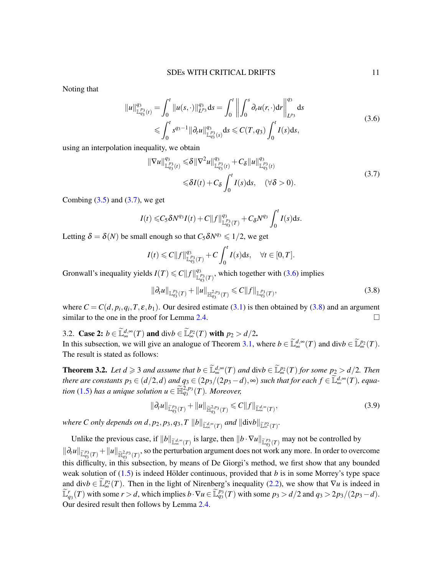Noting that

<span id="page-10-2"></span>
$$
||u||_{\mathbb{L}_{q_3}^{p_3}(t)}^{q_3} = \int_0^t ||u(s, \cdot)||_{L^{p_3}}^{q_3} ds = \int_0^t \left\| \int_0^s \partial_r u(r, \cdot) dr \right\|_{L^{p_3}}^{q_3} ds
$$
  
\n
$$
\leqslant \int_0^t s^{q_3-1} ||\partial_t u||_{\mathbb{L}_{q_3}^{p_3}(s)}^{q_3} ds \leqslant C(T, q_3) \int_0^t I(s) ds,
$$
\n(3.6)

using an interpolation inequality, we obtain

<span id="page-10-1"></span>
$$
\|\nabla u\|_{\mathbb{L}_{q_3}^{p_3}(t)}^{q_3} \leq \delta \|\nabla^2 u\|_{\mathbb{L}_{q_3}^{p_3}(t)}^{q_3} + C_{\delta} \|u\|_{\mathbb{L}_{q_3}^{p_3}(t)}^{q_3}
$$
  

$$
\leq \delta I(t) + C_{\delta} \int_0^t I(s) \, ds, \quad (\forall \delta > 0).
$$
\n
$$
(3.7)
$$

Combing  $(3.5)$  and  $(3.7)$ , we get

$$
I(t) \leq C_5 \delta N^{q_3} I(t) + C ||f||_{\mathbb{L}_{q_3}^{p_3}(T)}^{q_3} + C_\delta N^{q_3} \int_0^t I(s) \mathrm{d}s.
$$

Letting  $\delta = \delta(N)$  be small enough so that  $C_5 \delta N^{q_3} \leq 1/2$ , we get

$$
I(t) \leq C ||f||_{\mathbb{L}_{q_3}^{p_3}(T)}^{q_3} + C \int_0^t I(s) \, \mathrm{d} s, \quad \forall t \in [0, T].
$$

Gronwall's inequality yields  $I(T) \leq C ||f||_{\frac{1}{2}}^{q_3}$  $\frac{q_3}{\mathbb{L}_{q_3}^{p_3}(T)}$ , which together with [\(3.6\)](#page-10-2) implies

<span id="page-10-3"></span>
$$
\|\partial_t u\|_{\mathbb{L}_{q_3}^{p_3}(T)} + \|u\|_{\mathbb{H}_{q_3}^{2,p_3}(T)} \leq C \|f\|_{\mathbb{L}_{q_3}^{p_3}(T)},
$$
\n(3.8)

where  $C = C(d, p_i, q_i, T, \varepsilon, b_1)$ . Our desired estimate [\(3.1\)](#page-9-1) is then obtained by [\(3.8\)](#page-10-3) and an argument similar to the one in the proof for Lemma [2.4.](#page-5-4)

3.2. Case 2:  $b \in \tilde{\mathbb{L}}_{\infty}^{d, \infty}(T)$  and  $\text{div}b \in \tilde{\mathbb{L}}_{\infty}^{p_2}(T)$  with  $p_2 > d/2$ . In this subsection, we will give an analogue of Theorem [3.1,](#page-9-0) where  $b \in \tilde{\mathbb{L}}_{\infty}^{d, \infty}(T)$  and  $\text{div}b \in \tilde{\mathbb{L}}_{\infty}^{p_2}(T)$ . The result is stated as follows:

<span id="page-10-0"></span>**Theorem 3.2.** Let  $d \geq 3$  and assume that  $b \in \tilde{\mathbb{L}}_{\infty}^{d, \infty}(T)$  and  $\text{div}b \in \tilde{\mathbb{L}}_{\infty}^{p_2}(T)$  for some  $p_2 > d/2$ . Then *there are constants*  $p_3 \in (d/2,d)$  *and*  $q_3 \in (2p_3/(2p_3-d),\infty)$  *such that for each*  $f \in \tilde{\mathbb{L}}_{\infty}^{d,\infty}(T)$ *, equation* [\(1.5\)](#page-2-1) has a unique solution  $u \in \widetilde{\mathbb{H}}_{q_3}^{2,p_3}(T)$ . Moreover,

$$
\|\partial_t u\|_{\widetilde{\mathbb{L}}_{q_3}^{p_3}(T)} + \|u\|_{\widetilde{\mathbb{H}}_{q_3}^{2,p_3}(T)} \leqslant C \|f\|_{\widetilde{\mathbb{L}}_{\infty}^{d,\infty}(T)},\tag{3.9}
$$

where C only depends on  $d$ ,  $p_2$ ,  $p_3$ ,  $q_3$ ,  $T ||b||_{\widetilde{\mathbb{L}}_{\infty}^{d, \infty}(T)}$  and  $||\text{div}b||_{\widetilde{\mathbb{L}}_{\infty}^{p_2}(T)}$ .

Unlike the previous case, if  $||b||_{\mathbb{L}^{d, \infty}(T)}$  is large, then  $||b \cdot \nabla u||_{\mathbb{L}^{p_3}(T)}$  may not be controlled by  $\|\partial_t u\|_{\widetilde{\mathbb{L}}_{q_3}^{p_3}(T)} + \|u\|_{\widetilde{\mathbb{H}}_{q_3}^{2,p_3}(T)}$ , so the perturbation argument does not work any more. In order to overcome this difficulty, in this subsection, by means of De Giorgi's method, we first show that any bounded weak solution of  $(1.5)$  is indeed Hölder continuous, provided that b is in some Morrey's type space and div $b \in \widetilde{\mathbb{L}}_{\infty}^{p_2}(T)$ . Then in the light of Nirenberg's inequality [\(2.2\)](#page-5-0), we show that  $\nabla u$  is indeed in  $\widetilde{\mathbb{L}}_{q_3}^r(T)$  with some  $r > d$ , which implies  $b \cdot \nabla u \in \widetilde{\mathbb{L}}_{q_3}^{p_3}(T)$  with some  $p_3 > d/2$  and  $q_3 > 2p_3/(2p_3-d)$ . Our desired result then follows by Lemma [2.4.](#page-5-4)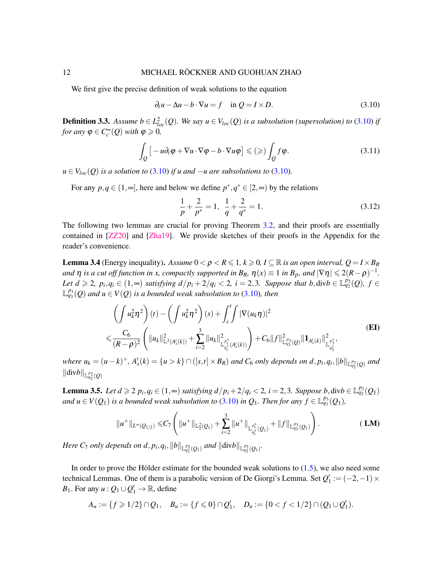#### 12 MICHAEL RÖCKNER AND GUOHUAN ZHAO

We first give the precise definition of weak solutions to the equation

<span id="page-11-0"></span>
$$
\partial_t u - \Delta u - b \cdot \nabla u = f \quad \text{in } Q = I \times D. \tag{3.10}
$$

<span id="page-11-3"></span>**Definition 3.3.** Assume  $b \in L^2_{loc}(Q)$ . We say  $u \in V_{loc}(Q)$  is a subsolution (supersolution) to [\(3.10\)](#page-11-0) if *for any*  $\varphi \in C_c^{\infty}(\mathcal{Q})$  *with*  $\varphi \geq 0$ *,* 

$$
\int_{Q} \left[ -u \partial_{t} \varphi + \nabla u \cdot \nabla \varphi - b \cdot \nabla u \varphi \right] \leqslant (\geqslant) \int_{Q} f \varphi. \tag{3.11}
$$

*u* ∈  $V<sub>loc</sub>(Q)$  *is a solution to* [\(3.10\)](#page-11-0) *if u and* −*u are subsolutions to* (3.10)*.* 

For any  $p, q \in (1, \infty]$ , here and below we define  $p^*, q^* \in [2, \infty)$  by the relations

<span id="page-11-6"></span><span id="page-11-1"></span>
$$
\frac{1}{p} + \frac{2}{p^*} = 1, \quad \frac{1}{q} + \frac{2}{q^*} = 1.
$$
\n(3.12)

The following two lemmas are crucial for proving Theorem [3.2,](#page-10-0) and their proofs are essentially contained in [\[ZZ20\]](#page-28-0) and [\[Zha19\]](#page-28-1). We provide sketches of their proofs in the Appendix for the reader's convenience.

<span id="page-11-4"></span>**Lemma 3.4** (Energy inequality). Assume  $0 < \rho < R \leq 1, k \geq 0, I \subseteq \mathbb{R}$  is an open interval,  $Q = I \times B_R$ *and*  $\eta$  *is a cut off function in x, compactly supported in B<sub>R</sub>,*  $\eta(x) \equiv 1$  *<i>in B<sub>p</sub>, and*  $|\nabla \eta| \leqslant 2(R-\rho)^{-1}$ *. Let*  $d \geq 2$ ,  $p_i, q_i \in (1, \infty)$  *satisfying*  $d/p_i + 2/q_i < 2$ *, i* = 2,3*. Suppose that b*, div $b \in \mathbb{L}_{q_2}^{p_2}(Q)$ ,  $f \in$  $\mathbb{L}_{q_3}^{p_3}(Q)$  and  $u \in V(Q)$  is a bounded weak subsolution to [\(3.10\)](#page-11-0), then

$$
\left(\int u_k^2 \eta^2\right)(t) - \left(\int u_k^2 \eta^2\right)(s) + \int_s^t \int |\nabla(u_k \eta)|^2
$$
\n
$$
\leq \frac{C_6}{(R-\rho)^2} \left(\|u_k\|_{\mathbb{L}^2(A_s^t(k))}^2 + \sum_{i=2}^3 \|u_k\|_{\mathbb{L}^{\frac{p_i^*}{q_i^*}}(A_s^t(k))}^2\right) + C_6 \|f\|_{\mathbb{L}^{\frac{p_3}{q_3}}(\mathcal{Q})}^2 \|u_{A_s^t(k)}\|_{\mathbb{L}^{\frac{p_i^*}{q_3^*}}}^2.
$$
\n(EI)

where  $u_k = (u-k)^+$ ,  $A_s^t(k) = {u > k} \cap ([s,t] \times B_R)$  and  $C_6$  only depends on  $d, p_i, q_i, ||b||_{\mathbb{L}_{q_2}^{p_2}(Q)}$  and  $\|\text{div}b\|_{\mathbb{L}^{p_2}_{q_2}(Q)}$ 

<span id="page-11-5"></span>**Lemma 3.5.** Let  $d \ge 2$   $p_i, q_i \in (1, ∞)$  satisfying  $d/p_i + 2/q_i < 2$ ,  $i = 2, 3$ . Suppose  $b$ , div $b \in \mathbb{L}_{q_2}^{p_2}(Q_1)$ *and*  $u \in V(Q_1)$  *is a bounded weak subsolution to* [\(3.10\)](#page-11-0) *in*  $Q_1$ *. Then for any*  $f \in \mathbb{L}_{q_3}^{p_3}(Q_1)$ *,* 

<span id="page-11-2"></span>
$$
||u^+||_{L^{\infty}(Q_{1/2})} \leq C_7 \left(||u^+||_{\mathbb{L}_2^2(Q_1)} + \sum_{i=2}^3 ||u^+||_{\mathbb{L}_{q_i^*}^{p_i^*}(Q_1)} + ||f||_{\mathbb{L}_{q_3^*}^{p_3}(Q_1)}\right).
$$
 (LM)

*Here C*<sub>7</sub> *only depends on d*,  $p_i$ ,  $q_i$ ,  $||b||_{\mathbb{L}_{q_2}^{p_2}(Q_1)}$  *and*  $||divb||_{\mathbb{L}_{q_2}^{p_2}(Q_1)}$ .

In order to prove the Hölder estimate for the bounded weak solutions to  $(1.5)$  $(1.5)$ , we also need some technical Lemmas. One of them is a parabolic version of De Giorgi's Lemma. Set  $Q'_1 := (-2,-1) \times$ *B*<sub>1</sub>. For any *u* :  $Q_1 \cup Q'_1 \rightarrow \mathbb{R}$ , define

$$
A_u := \{ f \geq 1/2 \} \cap Q_1, \quad B_u := \{ f \leq 0 \} \cap Q'_1, \quad D_u := \{ 0 < f < 1/2 \} \cap (Q_1 \cup Q'_1).
$$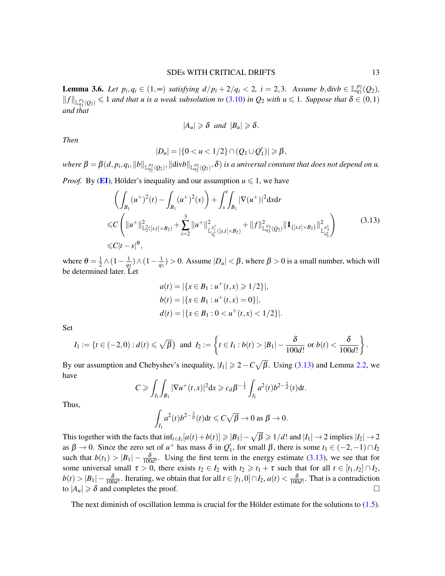<span id="page-12-1"></span>**Lemma 3.6.** *Let*  $p_i, q_i \in (1, ∞)$  *satisfying*  $d/p_i + 2/q_i < 2$ ,  $i = 2, 3$ . *Assume*  $b, \text{div}b \in \mathbb{L}_{q_2}^{p_2}(Q_2)$ *,*  $||f||_{\mathbb{L}_{q_3}^{p_3}(Q_2)} \leq 1$  *and that u is a weak subsolution to* [\(3.10\)](#page-11-0) *in Q*<sub>2</sub> *with u*  $\leq 1$ *. Suppose that*  $\delta \in (0,1)$ *and that*

<span id="page-12-0"></span>
$$
|A_u|\geq \delta \text{ and } |B_u|\geq \delta.
$$

*Then*

$$
|D_u| = |\{0 < u < 1/2\} \cap (Q_1 \cup Q'_1)| \geq \beta,
$$

 $\theta = \beta(d, p_i, q_i, \|b\|_{\mathbb{L}_{q_2}^{p_2}(Q_2)}, \|\text{div} b\|_{\mathbb{L}_{q_2}^{p_2}(Q_2)}, \delta)$  *is a universal constant that does not depend on u.* 

*Proof.* By ([EI](#page-11-1)), Hölder's inequality and our assumption  $u \le 1$ , we have

$$
\left(\int_{B_1} (u^+)^2(t) - \int_{B_1} (u^+)^2(s)\right) + \int_s^t \int_{B_1} |\nabla(u^+)|^2 dx dr
$$
  
\n
$$
\leq C \left(\|u^+\|_{\mathbb{L}_2^2([s,t] \times B_2)}^2 + \sum_{i=2}^3 \|u^+\|_{\mathbb{L}_{q_i^*}^{p_i^*}([s,t] \times B_2)}^2 + \|f\|_{\mathbb{L}_{q_3^*}^{p_3}(Q_2)}^2 \|1_{\{[s,t] \times B_2\}}\|_{\mathbb{L}_{q_3^*}^{p_3^*}}^2\right)
$$
\n
$$
\leq C|t-s|^\theta,
$$
\n(3.13)

where  $\theta = \frac{1}{2}$  $\frac{1}{2}$  ∧(1 –  $\frac{1}{q_2}$ ) ∧(1 –  $\frac{1}{q_3}$ ) > 0. Assume  $|D_u|$  <  $\beta$ , where  $\beta$  > 0 is a small number, which will be determined later. Let

$$
a(t) = |\{x \in B_1 : u^+(t, x) \ge 1/2\}|,
$$
  
\n
$$
b(t) = |\{x \in B_1 : u^+(t, x) = 0\}|,
$$
  
\n
$$
d(t) = |\{x \in B_1 : 0 < u^+(t, x) < 1/2\}|.
$$

Set

$$
I_1 := \{t \in (-2,0) : d(t) \leq \sqrt{\beta}\} \text{ and } I_2 := \left\{t \in I_1 : b(t) > |B_1| - \frac{\delta}{100d!} \text{ or } b(t) < \frac{\delta}{100d!}\right\}.
$$

By our assumption and Chebyshev's inequality,  $|I_1| \geq 2 - C\sqrt{\beta}$ . Using [\(3.13\)](#page-12-0) and Lemma [2.2,](#page-5-5) we have

$$
C \geq \int_{I_1} \int_{B_1} |\nabla u^+(t,x)|^2 dx \geq c_d \beta^{-\frac{1}{2}} \int_{I_1} a^2(t) b^{2-\frac{2}{d}}(t) dt.
$$

Thus,

$$
\int_{I_1} a^2(t) b^{2-\frac{2}{d}}(t) dt \leqslant C\sqrt{\beta} \to 0 \text{ as } \beta \to 0.
$$

This together with the facts that  $\inf_{t \in I_1} [a(t) + b(t)] \geq |B_1| - \sqrt{\beta} \geq 1/d!$  and  $|I_1| \to 2$  implies  $|I_2| \to 2$ as  $\beta \to 0$ . Since the zero set of  $u^+$  has mass  $\delta$  in  $Q'_1$ , for small  $\beta$ , there is some  $t_1 \in (-2, -1) \cap I_2$ such that  $b(t_1) > |B_1| - \frac{\delta}{100d!}$ . Using the first term in the energy estimate [\(3.13\)](#page-12-0), we see that for some universal small  $\tau > 0$ , there exists  $t_2 \in I_2$  with  $t_2 \geq t_1 + \tau$  such that for all  $t \in [t_1, t_2] \cap I_2$ ,  $b(t) > |B_1| - \frac{\delta}{100d!}$ . Iterating, we obtain that for all  $t \in [t_1, 0] \cap I_2$ ,  $a(t) < \frac{\delta}{100d!}$ . That is a contradiction to  $|A_u| \ge \delta$  and completes the proof.

The next diminish of oscillation lemma is crucial for the Hölder estimate for the solutions to  $(1.5)$  $(1.5)$ .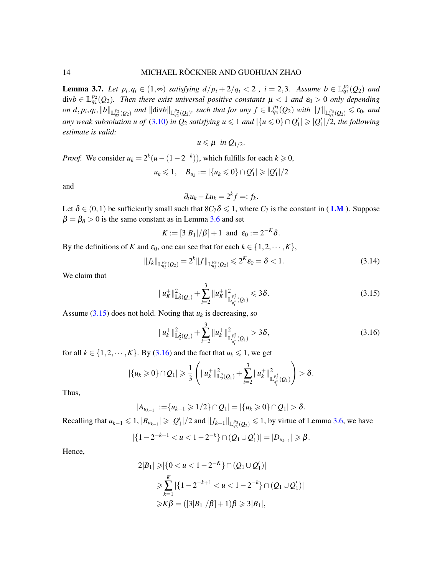<span id="page-13-2"></span>**Lemma 3.7.** Let  $p_i, q_i \in (1, \infty)$  satisfying  $d/p_i + 2/q_i < 2$ ,  $i = 2, 3$ . Assume  $b \in \mathbb{L}_{q_2}^{p_2}(Q_2)$  and  $\text{div}b \in \mathbb{L}_{q_2}^{p_2}(Q_2)$ . Then there exist universal positive constants  $\mu < 1$  and  $\varepsilon_0 > 0$  only depending on  $d, p_i, q_i, ||b||_{\mathbb{L}_{q_2}^{p_2}(Q_2)}$  and  $||\text{div}b||_{\mathbb{L}_{q_2}^{p_2}(Q_2)}$ , such that for any  $f \in \mathbb{L}_{q_3}^{p_3}(Q_2)$  with  $||f||_{\mathbb{L}_{q_3}^{p_3}(Q_2)} \leq \varepsilon_0$ , and *any weak subsolution u of* [\(3.10\)](#page-11-0) *in*  $Q_2$  *satisfying u*  $\leq$  1 *and*  $|\{u \leq 0\} \cap Q'_1| \geq |Q'_1|/2$ , the following *estimate is valid:*

$$
u\leqslant \mu \ \text{ in } Q_{1/2}
$$

.

*Proof.* We consider  $u_k = 2^k(u - (1 - 2^{-k}))$ , which fulfills for each  $k \ge 0$ ,

$$
u_k \le 1
$$
,  $B_{u_k} := |\{u_k \le 0\} \cap Q'_1| \ge |Q'_1|/2$ 

and

$$
\partial_t u_k - Lu_k = 2^k f =: f_k.
$$

Let  $\delta \in (0,1)$  be sufficiently small such that  $8C_7\delta \leq 1$ , where  $C_7$  is the constant in ([LM](#page-11-2)). Suppose  $\beta = \beta_{\delta} > 0$  is the same constant as in Lemma [3.6](#page-12-1) and set

 $K := [3|B_1|/\beta] + 1$  and  $\varepsilon_0 := 2^{-K}\delta$ .

By the definitions of *K* and  $\varepsilon_0$ , one can see that for each  $k \in \{1, 2, \dots, K\}$ ,

$$
||f_k||_{\mathbb{L}_{q_3}^{p_3}(Q_2)} = 2^k ||f||_{\mathbb{L}_{q_3}^{p_3}(Q_2)} \leq 2^k \varepsilon_0 = \delta < 1.
$$
 (3.14)

We claim that

<span id="page-13-0"></span>
$$
||u_K^+||_{\mathbb{L}_2^2(Q_1)}^2 + \sum_{i=2}^3 ||u_K^+||_{\mathbb{L}_{q_i^+}^{p_i^*}(Q_1)}^2 \leq 3\delta.
$$
 (3.15)

Assume  $(3.15)$  does not hold. Noting that  $u_k$  is decreasing, so

<span id="page-13-1"></span>
$$
||u_k^+||_{\mathbb{L}_2^2(Q_1)}^2 + \sum_{i=2}^3 ||u_k^+||_{\mathbb{L}_{q_i^*}^{p_i^*}(Q_1)}^2 > 3\delta,
$$
\n(3.16)

for all  $k \in \{1, 2, \dots, K\}$ . By [\(3.16\)](#page-13-1) and the fact that  $u_k \le 1$ , we get

$$
|\{u_k \geq 0\} \cap Q_1| \geq \frac{1}{3} \left( \|u_k^+\|_{\mathbb{L}_2^2(Q_1)}^2 + \sum_{i=2}^3 \|u_k^+\|_{\mathbb{L}_{q_i^*}^{p_i^*}(Q_1)}^2 \right) > \delta.
$$

Thus,

$$
|A_{u_{k-1}}|:=\{u_{k-1}\geqslant 1/2\}\cap Q_1|=|\{u_k\geqslant 0\}\cap Q_1|>\delta.
$$

Recalling that  $u_{k-1}$  ≤ 1,  $|B_{u_{k-1}}|$  ≥  $|Q'_1|/2$  and  $||f_{k-1}||_{L_{q_3}^{p_3}(Q_2)}$  ≤ 1, by virtue of Lemma [3.6,](#page-12-1) we have

$$
|\{1-2^{-k+1} < u < 1-2^{-k}\} \cap (Q_1 \cup Q'_1)| = |D_{u_{k-1}}| \geq \beta.
$$

Hence,

$$
2|B_1| \ge |\{0 < u < 1 - 2^{-K}\} \cap (Q_1 \cup Q'_1)|
$$
\n
$$
\ge \sum_{k=1}^K |\{1 - 2^{-k+1} < u < 1 - 2^{-k}\} \cap (Q_1 \cup Q'_1)|
$$
\n
$$
\ge K\beta = ([3|B_1|/\beta] + 1)\beta \ge 3|B_1|,
$$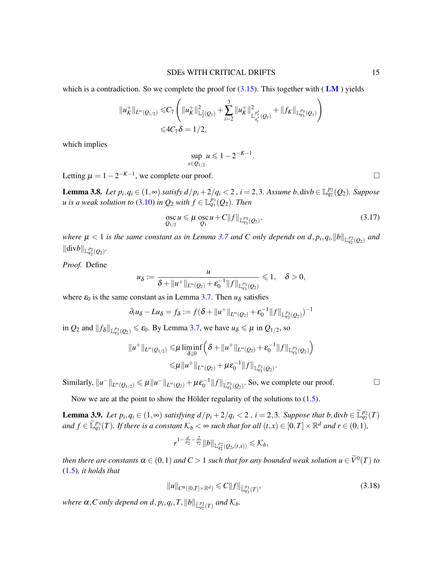which is a contradiction. So we complete the proof for  $(3.15)$ . This together with ( [LM](#page-11-2)) yields

$$
||u_K^+||_{L^\infty(Q_{1/2})} \leq C_7 \left( ||u_K^+||_{L_2(Q_1)}^2 + \sum_{i=2}^3 ||u_K^+||_{L_{q_i^*}^{p_i^*}(Q_1)}^2 + ||f_K||_{L_{q_3^*}^{p_3}(Q_1)} \right)
$$
  

$$
\leq 4C_7 \delta = 1/2,
$$

which implies

$$
\sup_{x \in Q_{1/2}} u \leqslant 1 - 2^{-K-1}
$$

Letting  $\mu = 1 - 2^{-K-1}$ , we complete our proof.  $□$ 

**Lemma 3.8.** Let  $p_i, q_i \in (1, ∞)$  satisfy  $d/p_i + 2/q_i < 2$ ,  $i = 2, 3$ . Assume  $b$ , div $b ∈ \mathbb{L}_{q_2}^{p_2}(Q_2)$ . Suppose *u* is a weak solution to [\(3.10\)](#page-11-0) in  $Q_2$  with  $f \in \mathbb{L}_{q_3}^{p_3}(Q_2)$ . Then

<span id="page-14-0"></span>
$$
\underset{Q_{1/2}}{\operatorname{osc}} u \leq \mu \underset{Q_1}{\operatorname{osc}} u + C ||f||_{\mathbb{L}_{q_3}^{p_3}(Q_2)},\tag{3.17}
$$

.

*where*  $\mu < 1$  *is the same constant as in Lemma [3.7](#page-13-2) and C only depends on*  $d, p_i, q_i, ||b||_{\mathbb{L}_{q_2}^{p_2}(Q_2)}$  *and*  $\|\text{div}b\|_{\mathbb{L}^{p_2}_{q_2}(Q_2)}$ .

*Proof.* Define

$$
u_\delta:=\frac{u}{\delta+\|u^+\|_{L^\infty(Q_2)}+\varepsilon_0^{-1}\|f\|_{\mathbb{L}^{p_3}_{q_3}(Q_2)}}\leq 1,\quad \delta>0,
$$

where  $\varepsilon_0$  is the same constant as in Lemma [3.7.](#page-13-2) Then  $u_{\delta}$  satisfies

$$
\partial_t u_{\delta} - Lu_{\delta} = f_{\delta} := f(\delta + ||u^+||_{L^{\infty}(Q_2)} + \varepsilon_0^{-1} ||f||_{\mathbb{L}^{p_3}_{q_3}(Q_2)})^{-1}
$$

in  $Q_2$  and  $||f_{\delta}||_{\mathbb{L}_{q_3}^{p_3}(Q_2)} \le \varepsilon_0$ . By Lemma [3.7,](#page-13-2) we have  $u_{\delta} \le \mu$  in  $Q_{1/2}$ , so

$$
||u^+||_{L^{\infty}(Q_{1/2})} \leq \mu \liminf_{\delta \downarrow 0} \left( \delta + ||u^+||_{L^{\infty}(Q_2)} + \varepsilon_0^{-1} ||f||_{\mathbb{L}^{p_3}_{q_3}(Q_2)} \right)
$$
  

$$
\leq \mu ||u^+||_{L^{\infty}(Q_2)} + \mu \varepsilon_0^{-1} ||f||_{\mathbb{L}^{p_3}_{q_3}(Q_2)}.
$$

Similarly,  $||u^-||_{L^{\infty}(Q_{1/2})} \le \mu ||u^-||_{L^{\infty}(Q_2)} + \mu \varepsilon_0^{-1} ||f||_{\mathbb{L}^{p_3}_{q_3}(Q_2)}$ . So, we complete our proof.

Now we are at the point to show the Hölder regularity of the solutions to  $(1.5)$  $(1.5)$ .

<span id="page-14-2"></span>**Lemma 3.9.** Let  $p_i, q_i \in (1, \infty)$  satisfying  $d/p_i + 2/q_i < 2$ ,  $i = 2, 3$ . Suppose that  $b, \text{div}b \in \mathbb{L}_{q_2}^{p_2}(T)$  $f \in \mathbb{L}_{q_3}^{p_3}(T)$ . If there is a constant  $K_b < \infty$  such that for all  $(t, x) \in [0, T] \times \mathbb{R}^d$  and  $r \in (0, 1)$ ,

$$
r^{1-\frac{d}{p_2}-\frac{2}{q_2}}\|b\|_{{\mathbb L}^{p_2}_{q_2}(Q_{2r}(t,x))}\leqslant \mathcal{K}_b,
$$

*then there are constants*  $\alpha \in (0,1)$  *and*  $C > 1$  *such that for any bounded weak solution*  $u \in \widetilde{V}^0(T)$  *to* [\(1.5\)](#page-2-1)*, it holds that*

<span id="page-14-1"></span>
$$
||u||_{C^{\alpha}([0,T]\times\mathbb{R}^d)} \leq C||f||_{\tilde{\mathbb{L}}_{q_3}^{p_3}(T)},
$$
\n(3.18)

*where*  $\alpha$ , *C* only depend on  $d$ ,  $p_i$ ,  $q_i$ ,  $T$ ,  $||b||_{\widetilde{\mathbb{L}}_{q_2}^{p_2}(T)}$  and  $\mathcal{K}_b$ .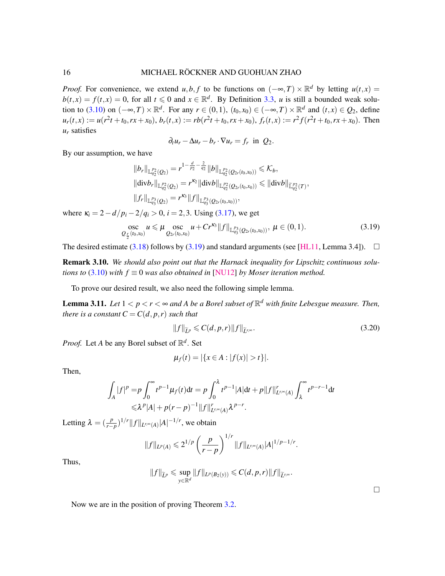### 16 MICHAEL RÖCKNER AND GUOHUAN ZHAO

*Proof.* For convenience, we extend *u*,*b*, *f* to be functions on  $(-\infty, T) \times \mathbb{R}^d$  by letting  $u(t, x) =$  $b(t, x) = f(t, x) = 0$ , for all  $t \le 0$  and  $x \in \mathbb{R}^d$ . By Definition [3.3,](#page-11-3) *u* is still a bounded weak solu-tion to [\(3.10\)](#page-11-0) on  $(-\infty, T) \times \mathbb{R}^d$ . For any  $r \in (0, 1)$ ,  $(t_0, x_0) \in (-\infty, T) \times \mathbb{R}^d$  and  $(t, x) \in Q_2$ , define  $u_r(t,x) := u(r^2t + t_0, rx + x_0), b_r(t,x) := rb(r^2t + t_0, rx + x_0), f_r(t,x) := r^2f(r^2t + t_0, rx + x_0).$  Then *u<sup>r</sup>* satisfies

$$
\partial_t u_r - \Delta u_r - b_r \cdot \nabla u_r = f_r \text{ in } Q_2.
$$

By our assumption, we have

$$
||b_r||_{\mathbb{L}_{q_2}^{p_2}(Q_2)} = r^{1 - \frac{d}{p_2} - \frac{2}{q_2}} ||b||_{\mathbb{L}_{q_2}^{p_2}(Q_{2r}(t_0, x_0))} \leq \mathcal{K}_b,
$$
  
\n
$$
||\text{div}b_r||_{\mathbb{L}_{q_2}^{p_2}(Q_2)} = r^{\kappa_2} ||\text{div}b||_{\mathbb{L}_{q_2}^{p_2}(Q_{2r}(t_0, x_0))} \leq ||\text{div}b||_{\mathbb{L}_{q_2}^{p_2}(T)},
$$
  
\n
$$
||f_r||_{\mathbb{L}_{q_3}^{p_3}(Q_2)} = r^{\kappa_3} ||f||_{\mathbb{L}_{q_3}^{p_3}(Q_{2r}(t_0, x_0))},
$$

where  $\kappa_i = 2 - d/p_i - 2/q_i > 0$ ,  $i = 2,3$ . Using [\(3.17\)](#page-14-0), we get

<span id="page-15-0"></span>
$$
\underset{\mathcal{Q}_{\frac{r}{2}}(t_0,x_0)}{\text{osc}} u \leqslant \mu \underset{\mathcal{Q}_{2r}(t_0,x_0)}{\text{osc}} u + Cr^{\kappa_3} \|f\|_{\mathbb{L}^{p_3}_{q_3}(\mathcal{Q}_{2r}(t_0,x_0))}, \ \mu \in (0,1). \tag{3.19}
$$

The desired estimate [\(3.18\)](#page-14-1) follows by [\(3.19\)](#page-15-0) and standard arguments (see [\[HL11,](#page-26-16) Lemma 3.4]).  $\square$ 

Remark 3.10. *We should also point out that the Harnack inequality for Lipschitz continuous solutions to* [\(3.10\)](#page-11-0) *with*  $f \equiv 0$  *was also obtained in* [\[NU12\]](#page-27-21) *by Moser iteration method.* 

To prove our desired result, we also need the following simple lemma.

<span id="page-15-2"></span>**Lemma 3.11.** Let  $1 < p < r < \infty$  and A be a Borel subset of  $\mathbb{R}^d$  with finite Lebesgue measure. Then, *there is a constant*  $C = C(d, p, r)$  *such that* 

<span id="page-15-1"></span>
$$
||f||_{\widetilde{L}^p} \leqslant C(d, p, r) ||f||_{\widetilde{L}^{r,\infty}}.
$$
\n(3.20)

*Proof.* Let *A* be any Borel subset of  $\mathbb{R}^d$ . Set

$$
\mu_f(t) = |\{x \in A : |f(x)| > t\}|.
$$

Then,

$$
\int_A |f|^p = p \int_0^\infty t^{p-1} \mu_f(t) dt = p \int_0^\lambda t^{p-1} |A| dt + p ||f||_{L^{r,\infty}(A)}^r \int_\lambda^\infty t^{p-r-1} dt
$$
  

$$
\leq \lambda^p |A| + p(r-p)^{-1} ||f||_{L^{r,\infty}(A)}^r \lambda^{p-r}.
$$

Letting  $\lambda = \left(\frac{p}{r-p}\right)^{1/r} \|f\|_{L^{r,\infty}(A)} |A|^{-1/r}$ , we obtain

$$
||f||_{L^p(A)} \leq 2^{1/p} \left(\frac{p}{r-p}\right)^{1/r} ||f||_{L^{r,\infty}(A)} |A|^{1/p-1/r}.
$$

Thus,

$$
||f||_{\widetilde{L}^p} \leqslant \sup_{y \in \mathbb{R}^d} ||f||_{L^p(B_2(y))} \leqslant C(d,p,r)||f||_{\widetilde{L}^{r,\infty}}.
$$

 $\Box$ 

Now we are in the position of proving Theorem [3.2.](#page-10-0)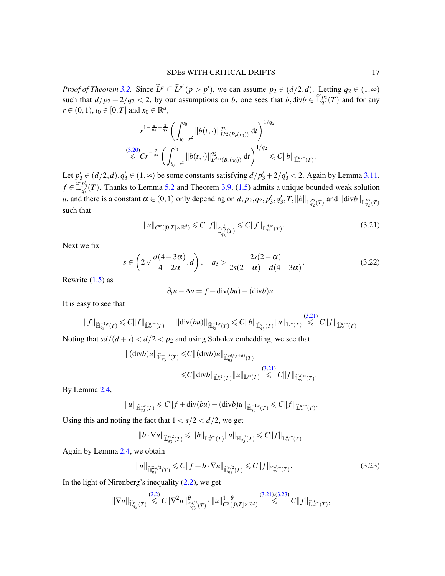*Proof of Theorem* [3.2.](#page-10-0) Since  $\tilde{L}^p \subseteq \tilde{L}^{p'}$   $(p > p')$ , we can assume  $p_2 \in (d/2,d)$ . Letting  $q_2 \in (1,\infty)$ such that  $d/p_2 + 2/q_2 < 2$ , by our assumptions on *b*, one sees that  $b, \text{div}b \in \mathbb{L}_{q_2}^{p_2}(T)$  and for any  $r \in (0, 1), t_0 \in [0, T]$  and  $x_0 \in \mathbb{R}^d$ ,

$$
r^{1-\frac{d}{p_2}-\frac{2}{q_2}}\left(\int_{t_0-r^2}^{t_0}\|b(t,\cdot)\|_{L^{p_2}(B_r(x_0))}^{q_2} dt\right)^{1/q_2} \leq C r^{-\frac{2}{q_2}}\left(\int_{t_0-r^2}^{t_0}\|b(t,\cdot)\|_{L^{d,\infty}(B_r(x_0))}^{q_2} dt\right)^{1/q_2} \leq C \|b\|_{\widetilde{\mathbb{L}}^{d,\infty}_{\infty}(T)}.
$$

Let  $p'_3 \in (d/2,d), q'_3 \in (1,\infty)$  be some constants satisfying  $d/p'_3 + 2/q'_3 < 2$ . Again by Lemma [3.11,](#page-15-2)  $f \in \tilde{\mathbb{L}}_{q_3'}^{p_3'}(T)$ . Thanks to Lemma [5.2](#page-24-0) and Theorem [3.9,](#page-14-2) [\(1.5\)](#page-2-1) admits a unique bounded weak solution *u*, and there is a constant  $\alpha \in (0,1)$  only depending on  $d$ ,  $p_2$ ,  $q_2$ ,  $p'_3$ ,  $q'_3$ ,  $T$ ,  $||b||_{\widetilde{\mathbb{L}}_{q_2}^{p_2}(T)}$  and  $||\text{div}b||_{\widetilde{\mathbb{L}}_{q_2}^{p_2}(T)}$ such that

<span id="page-16-0"></span>
$$
||u||_{C^{\alpha}([0,T]\times\mathbb{R}^d)} \leq C||f||_{\widetilde{\mathbb{L}}_{q_3'}^{p_3'}(T)} \leq C||f||_{\widetilde{\mathbb{L}}_{\infty}^{d,\infty}(T)}.
$$
\n(3.21)

 $(2.21)$ 

Next we fix

<span id="page-16-2"></span>
$$
s \in \left(2\vee \frac{d(4-3\alpha)}{4-2\alpha}, d\right), \quad q_3 > \frac{2s(2-\alpha)}{2s(2-\alpha)-d(4-3\alpha)}.\tag{3.22}
$$

Rewrite  $(1.5)$  as

$$
\partial_t u - \Delta u = f + \operatorname{div}(bu) - (\operatorname{div} b)u.
$$

It is easy to see that

$$
||f||_{\widetilde{\mathbb{H}}_{q_3}^{-1,s}(T)} \leq C||f||_{\widetilde{\mathbb{L}}_{\infty}^{d,\infty}(T)}, \quad ||\text{div}(bu)||_{\widetilde{\mathbb{H}}_{q_3}^{-1,s}(T)} \leq C||b||_{\widetilde{\mathbb{L}}_{q_3}^s(T)}||u||_{\mathbb{L}^{\infty}(T)} \leq C||f||_{\widetilde{\mathbb{L}}_{\infty}^{d,\infty}(T)}.
$$

Noting that  $sd/(d+s) < d/2 < p_2$  and using Sobolev embedding, we see that

$$
\begin{aligned} \|( \text{div} b) u \|_{\widetilde{\mathbb{H}}_{q_3}^{-1,s}(T)} \leqslant & C \| ( \text{div} b) u \|_{\widetilde{\mathbb{L}}_{q_3}^{sd/(s+d)}(T)} \\ \leqslant & C \| \text{div} b \|_{\widetilde{\mathbb{L}}_{\infty}^{p_2}(T)} \| u \|_{\mathbb{L}^{\infty}(T)} \stackrel{(3.21)}{\leqslant} C \| f \|_{\widetilde{\mathbb{L}}_{\infty}^{d, \infty}(T)} .\end{aligned}
$$

By Lemma [2.4,](#page-5-4)

$$
\|u\|_{\widetilde{\mathbb{H}}^{1,s}_{q_3}(T)}\leqslant C\|f+\mathord{{\rm div}} (b u)-(\mathord{{\rm div}} b) u\|_{\widetilde{\mathbb{H}}^{-1,s}_{q_3}(T)}\leqslant C\|f\|_{\widetilde{\mathbb{L}}^{d,\infty}_{\infty}(T)}.
$$

Using this and noting the fact that  $1 < s/2 < d/2$ , we get

$$
\|b\cdot\nabla u\|_{\widetilde {\mathbb L}^{s/2}_{q_3}(T)}\leqslant \|b\|_{\widetilde {\mathbb L}^{d,\infty}_{\infty}(T)}\|u\|_{\widetilde {\mathbb H}^{1,s}_{q_3}(T)}\leqslant C\|f\|_{\widetilde {\mathbb L}^{d,\infty}_{\infty}(T)}.
$$

Again by Lemma [2.4,](#page-5-4) we obtain

<span id="page-16-1"></span>
$$
||u||_{\widetilde{\mathbb{H}}_{q_3}^{2,s/2}(T)} \leq C||f+b\cdot \nabla u||_{\widetilde{\mathbb{L}}_{q_3}^{s/2}(T)} \leq C||f||_{\widetilde{\mathbb{L}}_{\infty}^{d,\infty}(T)}.
$$
\n(3.23)

In the light of Nirenberg's inequality  $(2.2)$ , we get

$$
\|\nabla u\|_{\widetilde{\mathbb{L}}_{q_3}(T)} \stackrel{(2.2)}{\leq} C \|\nabla^2 u\|_{\widetilde{\mathbb{L}}_{q_3}^{s/2}(T)}^{\theta} \cdot \|u\|_{C^{\alpha}([0,T]\times \mathbb{R}^d)}^{1-\theta} \stackrel{(3.21),(3.23)}{\leq} C \|f\|_{\widetilde{\mathbb{L}}_{\infty}^{d, \infty}(T)},
$$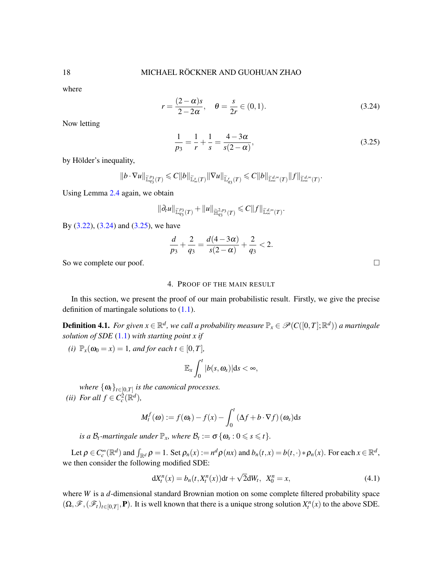where

<span id="page-17-0"></span>
$$
r = \frac{(2 - \alpha)s}{2 - 2\alpha}, \quad \theta = \frac{s}{2r} \in (0, 1).
$$
 (3.24)

Now letting

<span id="page-17-1"></span>
$$
\frac{1}{p_3} = \frac{1}{r} + \frac{1}{s} = \frac{4 - 3\alpha}{s(2 - \alpha)},
$$
\n(3.25)

by Hölder's inequality,

$$
\|b\cdot\nabla u\|_{\widetilde {\mathbb L}^{p_3}_{q_3}(T)}\leqslant C\|b\|_{\widetilde {\mathbb L}^{s}_{\infty}(T)}\|\nabla u\|_{\widetilde {\mathbb L}^{r}_{q_3}(T)}\leqslant C\|b\|_{\widetilde {\mathbb L}^{d, \infty}_{\infty}(T)}\|f\|_{\widetilde {\mathbb L}^{d, \infty}_{\infty}(T)}.
$$

Using Lemma [2.4](#page-5-4) again, we obtain

$$
\|\partial_t u\|_{\widetilde {\mathbb L}^{p_3}_{q_3}(T)}+\|u\|_{\widetilde {\mathbb H}^{2,p_3}_{q_3}(T)}\leq C\|f\|_{\widetilde {\mathbb L}^{d,\infty}_{\infty}(T)}.
$$

By  $(3.22)$ ,  $(3.24)$  and  $(3.25)$ , we have

$$
\frac{d}{p_3} + \frac{2}{q_3} = \frac{d(4-3\alpha)}{s(2-\alpha)} + \frac{2}{q_3} < 2.
$$

So we complete our poof.

# 4. PROOF OF THE MAIN RESULT

In this section, we present the proof of our main probabilistic result. Firstly, we give the precise definition of martingale solutions to  $(1.1)$ .

 $\bf{Definition 4.1.}$  For given  $x\in\mathbb{R}^d$ , we call a probability measure  $\mathbb{P}_x\in\mathscr{P}(C([0,T];\mathbb{R}^d))$  a martingale *solution of SDE* [\(1.1\)](#page-0-0) *with starting point x if*

*(i)*  $\mathbb{P}_x(\omega_0 = x) = 1$ *, and for each t*  $\in [0, T]$ *,* 

$$
\mathbb{E}_x\int_0^t|b(s,\omega_s)|\mathrm{d} s<\infty,
$$

*where*  $\{\boldsymbol{\omega}_t\}_{t\in[0,T]}$  *is the canonical processes.* (*ii*) *For all*  $f \in C_c^2(\mathbb{R}^d)$ *,* 

$$
M_t^f(\boldsymbol{\omega}) := f(\boldsymbol{\omega}_t) - f(x) - \int_0^t (\Delta f + b \cdot \nabla f)(\boldsymbol{\omega}_s) ds
$$

*is a*  $\mathcal{B}_t$ *-martingale under*  $\mathbb{P}_x$ *, where*  $\mathcal{B}_t := \sigma \{ \omega_s : 0 \leq s \leq t \}.$ 

Let  $\rho \in C_c^{\infty}(\mathbb{R}^d)$  and  $\int_{\mathbb{R}^d} \rho = 1$ . Set  $\rho_n(x) := n^d \rho(nx)$  and  $b_n(t, x) = b(t, \cdot) * \rho_n(x)$ . For each  $x \in \mathbb{R}^d$ , we then consider the following modified SDE:

$$
dX_t^n(x) = b_n(t, X_t^n(x))dt + \sqrt{2}dW_t, \ \ X_0^n = x,\tag{4.1}
$$

where *W* is a *d*-dimensional standard Brownian motion on some complete filtered probability space  $(\Omega, \mathscr{F}, (\mathscr{F}_t)_{t \in [0,T]}, \mathbf{P})$ . It is well known that there is a unique strong solution  $X_t^n(x)$  to the above SDE.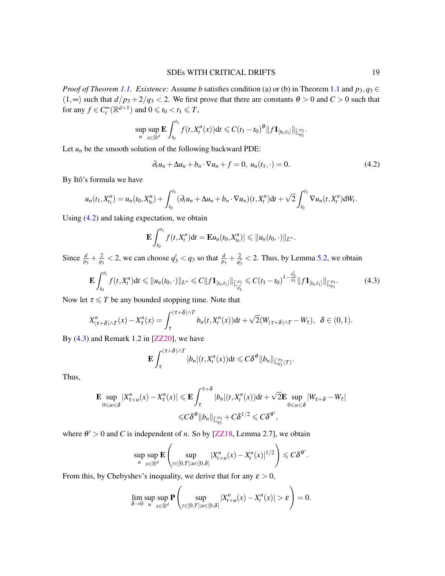*Proof of Theorem [1.1.](#page-2-0) Existence:* Assume *b* satisfies condition (a) or (b) in Theorem [1.1](#page-2-0) and  $p_3, q_3 \in$  $(1, \infty)$  such that  $d/p_3 + 2/q_3 < 2$ . We first prove that there are constants  $\theta > 0$  and  $C > 0$  such that for any  $f \in C_c^{\infty}(\mathbb{R}^{d+1})$  and  $0 \leq t_0 < t_1 \leq T$ ,

$$
\sup_n \sup_{x \in \mathbb{R}^d} \mathbf{E} \int_{t_0}^{t_1} f(t, X_t^n(x)) dt \leq C (t_1 - t_0)^{\theta} ||f \mathbf{1}_{[t_0, t_1]}||_{\widetilde{\mathbb{L}}_{q_3}^{p_3}}.
$$

Let  $u_n$  be the smooth solution of the following backward PDE:

<span id="page-18-0"></span>
$$
\partial_t u_n + \Delta u_n + b_n \cdot \nabla u_n + f = 0, \ u_n(t_1, \cdot) = 0. \tag{4.2}
$$

By Itô's formula we have

$$
u_n(t_1, X_{t_1}^n) = u_n(t_0, X_{t_0}^n) + \int_{t_0}^{t_1} (\partial_t u_n + \Delta u_n + b_n \cdot \nabla u_n)(t, X_t^n) dt + \sqrt{2} \int_{t_0}^{t_1} \nabla u_n(t, X_t^n) dW_t.
$$

Using [\(4.2\)](#page-18-0) and taking expectation, we obtain

$$
\mathbf{E}\int_{t_0}^{t_1}f(t,X_t^n)\mathrm{d}t=\mathbf{E}u_n(t_0,X_{t_0}^n)|\leqslant||u_n(t_0,\cdot)||_{L^{\infty}}.
$$

Since  $\frac{d}{p_3} + \frac{2}{q_3} < 2$ , we can choose  $q'_3 < q_3$  so that  $\frac{d}{p_3} + \frac{2}{q'_3}$  $\frac{2}{q_3}$  < 2. Thus, by Lemma [5.2,](#page-24-0) we obtain

<span id="page-18-1"></span>
$$
\mathbf{E} \int_{t_0}^{t_1} f(t, X_t^n) dt \leq \|u_n(t_0, \cdot)\|_{L^\infty} \leq C \|f \mathbf{1}_{[t_0, t_1]}\|_{\widetilde{\mathbb{L}}_{q_3'}^{p_3}} \leq C (t_1 - t_0)^{1 - \frac{q_3'}{q_3}} \|f \mathbf{1}_{[t_0, t_1]}\|_{\widetilde{\mathbb{L}}_{q_3}^{p_3}}.
$$
 (4.3)

Now let  $\tau \leq T$  be any bounded stopping time. Note that

$$
X_{(\tau+\delta)\wedge T}^n(x) - X_{\tau}^n(x) = \int_{\tau}^{(\tau+\delta)\wedge T} b_n(t, X_t^n(x)) \mathrm{d}t + \sqrt{2}(W_{(\tau+\delta)\wedge T} - W_{\tau}), \ \ \delta \in (0,1).
$$

By  $(4.3)$  and Remark 1.2 in [\[ZZ20\]](#page-28-0), we have

$$
\mathbf{E}\int_{\tau}^{(\tau+\delta)\wedge T}|b_n|(t,X_t^n(x))\mathrm{d}t\leqslant C\delta^{\theta}\|b_n\|_{\widetilde{\mathbb{L}}_{q_3}^{p_3}(T)}.
$$

Thus,

$$
\mathbf{E} \sup_{0 \le u \le \delta} |X_{\tau+u}^n(x) - X_{\tau}^n(x)| \le \mathbf{E} \int_{\tau}^{\tau+\delta} |b_n|(t, X_{t}^n(x)) \mathrm{d}t + \sqrt{2} \mathbf{E} \sup_{0 \le u \le \delta} |W_{\tau+\delta} - W_{\tau}|
$$
  

$$
\le C \delta^{\theta} ||b_n||_{\mathbb{L}_{q_3}^{p_3}} + C \delta^{1/2} \le C \delta^{\theta'},
$$

where  $\theta' > 0$  and *C* is independent of *n*. So by [\[ZZ18,](#page-28-3) Lemma 2.7], we obtain

$$
\sup_n \sup_{x \in \mathbb{R}^d} \mathbf{E} \left( \sup_{t \in [0,T]; u \in [0,\delta]} |X_{t+u}^n(x) - X_t^n(x)|^{1/2} \right) \leqslant C \delta^{\theta'}.
$$

From this, by Chebyshev's inequality, we derive that for any  $\varepsilon > 0$ ,

$$
\lim_{\delta \to 0} \sup_n \sup_{x \in \mathbb{R}^d} \mathbf{P} \left( \sup_{t \in [0,T]; u \in [0,\delta]} |X_{t+u}^n(x) - X_t^n(x)| > \varepsilon \right) = 0.
$$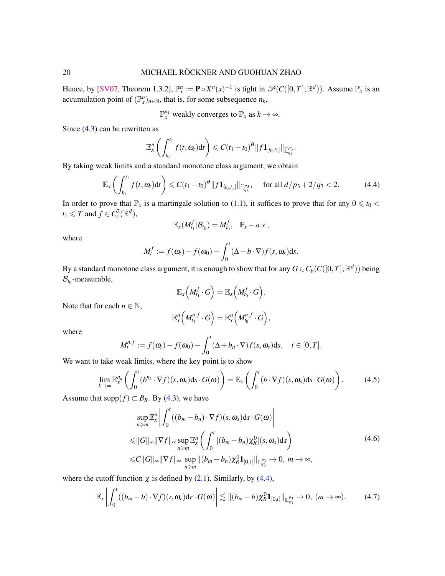Hence, by [\[SV07,](#page-27-22) Theorem 1.3.2],  $\mathbb{P}_x^n := \mathbf{P} \circ X^n(x)^{-1}$  is tight in  $\mathscr{P}(C([0,T]; \mathbb{R}^d))$ . Assume  $\mathbb{P}_x$  is an accumulation point of  $(\mathbb{P}_{x}^{n})_{n\in\mathbb{N}}$ , that is, for some subsequence  $n_k$ ,

 $\mathbb{P}_{x}^{n_k}$  weakly converges to  $\mathbb{P}_{x}$  as  $k \to \infty$ .

Since [\(4.3\)](#page-18-1) can be rewritten as

$$
\mathbb{E}_x^n\left(\int_{t_0}^{t_1}f(t, \omega_t)\,dt\right)\leq C(t_1-t_0)^{\theta}\|f\mathbf{1}_{[t_0,t_1]}\|_{\mathbb{L}^{p_3}_{q_3}}.
$$

By taking weak limits and a standard monotone class argument, we obtain

$$
\mathbb{E}_x \left( \int_{t_0}^{t_1} f(t, \omega_t) dt \right) \leq C (t_1 - t_0)^{\theta} \| f \mathbf{1}_{[t_0, t_1]} \|_{\widetilde{\mathbb{L}}_{q_3}^{p_3}}, \quad \text{for all } d/p_3 + 2/q_3 < 2. \tag{4.4}
$$

In order to prove that  $\mathbb{P}_x$  is a martingale solution to [\(1.1\)](#page-0-0), it suffices to prove that for any  $0 \le t_0 <$  $t_1 \leq T$  and  $f \in C_c^2(\mathbb{R}^d)$ ,

<span id="page-19-0"></span>
$$
\mathbb{E}_x(M_{t_1}^f|\mathcal{B}_{t_0})=M_{t_0}^f, \quad \mathbb{P}_x-a.s.,
$$

where

$$
M_t^f := f(\omega_t) - f(\omega_0) - \int_0^t (\Delta + b \cdot \nabla) f(s, \omega_s) \mathrm{d}s.
$$

By a standard monotone class argument, it is enough to show that for any  $G \in C_b(C([0, T]; \mathbb{R}^d))$  being  $\mathcal{B}_{t_0}$ -measurable,

$$
\mathbb{E}_x\Big(M^f_{t_1}\cdot G\Big)=\mathbb{E}_x\Big(M^f_{t_0}\cdot G\Big).
$$

Note that for each  $n \in \mathbb{N}$ ,

<span id="page-19-3"></span><span id="page-19-1"></span>
$$
\mathbb{E}^n_x\Big(M^{n,f}_{t_1}\cdot G\Big)=\mathbb{E}^n_x\Big(M^{n,f}_{t_0}\cdot G\Big),\,
$$

where

$$
M_t^{n,f} := f(\omega_t) - f(\omega_0) - \int_0^t (\Delta + b_n \cdot \nabla) f(s, \omega_s) \, ds, \quad t \in [0, T].
$$

We want to take weak limits, where the key point is to show

$$
\lim_{k \to \infty} \mathbb{E}_x^{n_k} \left( \int_0^t (b^{n_k} \cdot \nabla f)(s, \omega_s) \, ds \cdot G(\omega) \right) = \mathbb{E}_x \left( \int_0^t (b \cdot \nabla f)(s, \omega_s) \, ds \cdot G(\omega) \right). \tag{4.5}
$$

Assume that supp $(f) \subset B_R$ . By [\(4.3\)](#page-18-1), we have

<span id="page-19-2"></span>
$$
\sup_{n\geq m} \mathbb{E}_x^n \left| \int_0^t ((b_m - b_n) \cdot \nabla f)(s, \omega_s) ds \cdot G(\omega) \right|
$$
  
\n
$$
\leq ||G||_{\infty} ||\nabla f||_{\infty} \sup_{n\geq m} \mathbb{E}_x^n \left( \int_0^t |(b_m - b_n) \chi_R^0|(s, \omega_s) ds \right)
$$
  
\n
$$
\leq C ||G||_{\infty} ||\nabla f||_{\infty} \sup_{n\geq m} ||(b_m - b_n) \chi_R^0 \mathbf{1}_{[0,t]}||_{\mathbb{L}_{q_3}^{p_3}} \to 0, m \to \infty,
$$
\n(4.6)

where the cutoff function  $\chi$  is defined by [\(2.1\)](#page-4-0). Similarly, by [\(4.4\)](#page-19-0),

$$
\mathbb{E}_x \left| \int_0^t ((b_m - b) \cdot \nabla f)(r, \omega_r) dr \cdot G(\omega) \right| \lesssim \| (b_m - b) \chi_R^0 \mathbf{1}_{[0, t]} \|_{\mathbb{L}_{q_3}^{p_3}} \to 0, \ (m \to \infty). \tag{4.7}
$$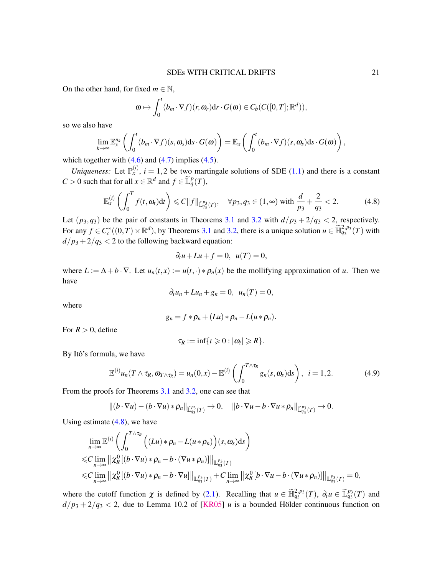On the other hand, for fixed  $m \in \mathbb{N}$ ,

$$
\boldsymbol{\omega} \mapsto \int_0^t (b_m \cdot \nabla f)(r, \boldsymbol{\omega}_r) dr \cdot G(\boldsymbol{\omega}) \in C_b(C([0, T]; \mathbb{R}^d)),
$$

so we also have

$$
\lim_{k\to\infty}\mathbb{E}^{n_k}_x\left(\int_0^t(b_m\cdot\nabla f)(s,\omega_s)\mathrm{d} s\cdot G(\omega)\right)=\mathbb{E}_x\left(\int_0^t(b_m\cdot\nabla f)(s,\omega_s)\mathrm{d} s\cdot G(\omega)\right),
$$

which together with  $(4.6)$  and  $(4.7)$  implies  $(4.5)$ .

*Uniqueness:* Let  $\mathbb{P}_{x}^{(i)}$ ,  $i = 1,2$  be two martingale solutions of SDE [\(1.1\)](#page-0-0) and there is a constant  $C > 0$  such that for all  $x \in \mathbb{R}^d$  and  $f \in \widetilde{\mathbb{L}}_q^p(T)$ ,

$$
\mathbb{E}_x^{(i)}\left(\int_0^T f(t,\omega_t)\mathrm{d}t\right) \leq C\|f\|_{\widetilde{\mathbb{L}}_{q_3}^{p_3}(T)}, \quad \forall p_3, q_3 \in (1,\infty) \text{ with } \frac{d}{p_3} + \frac{2}{q_3} < 2. \tag{4.8}
$$

Let  $(p_3, q_3)$  be the pair of constants in Theorems [3.1](#page-9-0) and [3.2](#page-10-0) with  $d/p_3 + 2/q_3 < 2$ , respectively. For any  $f \in C_c^{\infty}((0,T) \times \mathbb{R}^d)$ , by Theorems [3.1](#page-9-0) and [3.2,](#page-10-0) there is a unique solution  $u \in \widetilde{\mathbb{H}}_{q_3}^{2,p_3}(T)$  with  $d/p_3 + 2/q_3 < 2$  to the following backward equation:

<span id="page-20-0"></span>
$$
\partial_t u + Lu + f = 0, \ \ u(T) = 0,
$$

where  $L := \Delta + b \cdot \nabla$ . Let  $u_n(t, x) := u(t, \cdot) * \rho_n(x)$  be the mollifying approximation of *u*. Then we have

$$
\partial_t u_n + Lu_n + g_n = 0, \quad u_n(T) = 0,
$$

where

$$
g_n = f * \rho_n + (Lu) * \rho_n - L(u * \rho_n).
$$

For  $R > 0$ , define

<span id="page-20-1"></span>
$$
\tau_R:=\inf\{t\geqslant 0:|\omega_t|\geqslant R\}.
$$

By Itô's formula, we have

$$
\mathbb{E}^{(i)} u_n(T \wedge \tau_R, \omega_{T \wedge \tau_R}) = u_n(0, x) - \mathbb{E}^{(i)} \left( \int_0^{T \wedge \tau_R} g_n(s, \omega_s) ds \right), \quad i = 1, 2. \tag{4.9}
$$

From the proofs for Theorems [3.1](#page-9-0) and [3.2,](#page-10-0) one can see that

$$
||(b\cdot\nabla u)-(b\cdot\nabla u)*\rho_n||_{\widetilde{\mathbb{L}}_{q_3}^{p_3}(T)}\to 0, \quad ||b\cdot\nabla u-b\cdot\nabla u*\rho_n||_{\widetilde{\mathbb{L}}_{q_3}^{p_3}(T)}\to 0.
$$

Using estimate  $(4.8)$ , we have

$$
\lim_{n\to\infty} \mathbb{E}^{(i)}\left(\int_0^{T\wedge\tau_R} \Big((Lu)*\rho_n - L(u*\rho_n)\Big)(s,\omega_s)ds\right)
$$
  
\n
$$
\leq C \lim_{n\to\infty} \|\chi_R^0[(b\cdot \nabla u)*\rho_n - b\cdot (\nabla u*\rho_n)]\|_{\mathbb{L}^{p_3}_{q_3}(T)}
$$
  
\n
$$
\leq C \lim_{n\to\infty} \|\chi_R^0[(b\cdot \nabla u)*\rho_n - b\cdot \nabla u]\|_{\mathbb{L}^{p_3}_{q_3}(T)} + C \lim_{n\to\infty} \|\chi_R^0[b\cdot \nabla u - b\cdot (\nabla u*\rho_n)]\|_{\mathbb{L}^{p_3}_{q_3}(T)} = 0,
$$

where the cutoff function  $\chi$  is defined by [\(2.1\)](#page-4-0). Recalling that  $u \in \widetilde{\mathbb{H}}_{q_3}^{2,p_3}(T)$ ,  $\partial_t u \in \widetilde{\mathbb{L}}_{q_3}^{p_3}(T)$  and  $d/p_3 + 2/q_3 < 2$ , due to Lemma 10.2 of [\[KR05\]](#page-26-0) *u* is a bounded Hölder continuous function on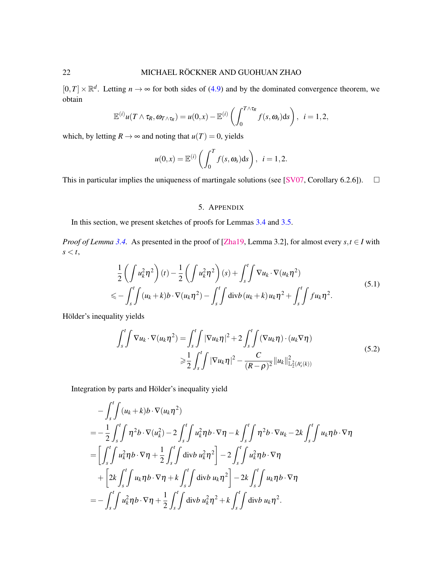$[0,T] \times \mathbb{R}^d$ . Letting  $n \to \infty$  for both sides of [\(4.9\)](#page-20-1) and by the dominated convergence theorem, we obtain

$$
\mathbb{E}^{(i)}u(T\wedge \tau_R,\omega_{T\wedge \tau_R})=u(0,x)-\mathbb{E}^{(i)}\left(\int_0^{T\wedge \tau_R}f(s,\omega_s)\mathrm{d} s\right),\ \ i=1,2,
$$

which, by letting  $R \to \infty$  and noting that  $u(T) = 0$ , yields

$$
u(0,x) = \mathbb{E}^{(i)}\left(\int_0^T f(s,\omega_s)ds\right), \ \ i=1,2.
$$

This in particular implies the uniqueness of martingale solutions (see [\[SV07,](#page-27-22) Corollary 6.2.6]).  $\square$ 

# <span id="page-21-0"></span>5. APPENDIX

In this section, we present sketches of proofs for Lemmas [3.4](#page-11-4) and [3.5.](#page-11-5)

*Proof of Lemma* [3.4.](#page-11-4) As presented in the proof of [\[Zha19,](#page-28-1) Lemma 3.2], for almost every  $s, t \in I$  with  $s < t$ ,

$$
\frac{1}{2}\left(\int u_k^2 \eta^2\right)(t) - \frac{1}{2}\left(\int u_k^2 \eta^2\right)(s) + \int_s^t \int \nabla u_k \cdot \nabla (u_k \eta^2) \n\leq - \int_s^t \int (u_k + k) b \cdot \nabla (u_k \eta^2) - \int_s^t \int \text{div} b (u_k + k) u_k \eta^2 + \int_s^t \int f u_k \eta^2.
$$
\n(5.1)

Hölder's inequality yields

<span id="page-21-1"></span>
$$
\int_{s}^{t} \int \nabla u_{k} \cdot \nabla (u_{k} \eta^{2}) = \int_{s}^{t} \int |\nabla u_{k} \eta|^{2} + 2 \int_{s}^{t} \int (\nabla u_{k} \eta) \cdot (u_{k} \nabla \eta)
$$
\n
$$
\geq \frac{1}{2} \int_{s}^{t} \int |\nabla u_{k} \eta|^{2} - \frac{C}{(R - \rho)^{2}} ||u_{k}||^{2}_{\mathbb{L}_{2}^{2}(A_{s}^{t}(k))}
$$
\n(5.2)

Integration by parts and Hölder's inequality yield

$$
-\int_{s}^{t} \int (u_{k} + k) b \cdot \nabla(u_{k}\eta^{2})
$$
  
=  $-\frac{1}{2} \int_{s}^{t} \int \eta^{2} b \cdot \nabla(u_{k}^{2}) - 2 \int_{s}^{t} \int u_{k}^{2} \eta b \cdot \nabla \eta - k \int_{s}^{t} \int \eta^{2} b \cdot \nabla u_{k} - 2k \int_{s}^{t} \int u_{k} \eta b \cdot \nabla \eta$   
=  $\left[ \int_{s}^{t} \int u_{k}^{2} \eta b \cdot \nabla \eta + \frac{1}{2} \int_{s}^{t} \int \text{div} b u_{k}^{2} \eta^{2} \right] - 2 \int_{s}^{t} \int u_{k}^{2} \eta b \cdot \nabla \eta$   
+  $\left[ 2k \int_{s}^{t} \int u_{k} \eta b \cdot \nabla \eta + k \int_{s}^{t} \int \text{div} b u_{k} \eta^{2} \right] - 2k \int_{s}^{t} \int u_{k} \eta b \cdot \nabla \eta$   
=  $-\int_{s}^{t} \int u_{k}^{2} \eta b \cdot \nabla \eta + \frac{1}{2} \int_{s}^{t} \int \text{div} b u_{k}^{2} \eta^{2} + k \int_{s}^{t} \int \text{div} b u_{k} \eta^{2}.$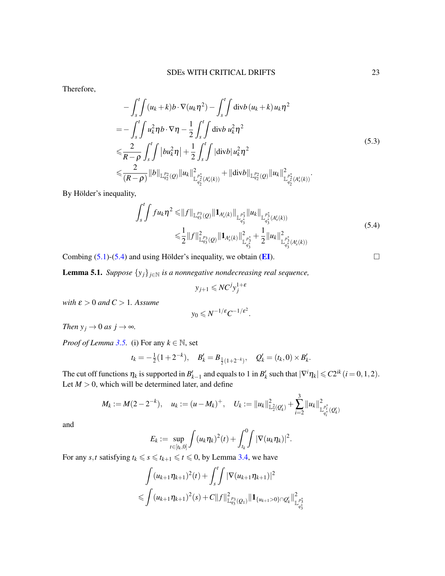Therefore,

$$
-\int_{s}^{t} \int (u_{k} + k) b \cdot \nabla(u_{k} \eta^{2}) - \int_{s}^{t} \int \operatorname{div} b (u_{k} + k) u_{k} \eta^{2}
$$
  
\n
$$
= -\int_{s}^{t} \int u_{k}^{2} \eta b \cdot \nabla \eta - \frac{1}{2} \int_{s}^{t} \int \operatorname{div} b u_{k}^{2} \eta^{2}
$$
  
\n
$$
\leq \frac{2}{R - \rho} \int_{s}^{t} \int |bu_{k}^{2} \eta| + \frac{1}{2} \int_{s}^{t} \int |\operatorname{div} b| u_{k}^{2} \eta^{2}
$$
  
\n
$$
\leq \frac{2}{(R - \rho)} \|b\|_{\mathbb{L}_{q_{2}}^{p_{2}}(Q)} \|u_{k}\|_{\mathbb{L}_{q_{2}}^{p_{2}}(A_{s}^{t}(k))}^{2} + \| \operatorname{div} b \|_{\mathbb{L}_{q_{2}}^{p_{2}}(Q)} \|u_{k}\|_{\mathbb{L}_{q_{2}}^{p_{2}}(A_{s}^{t}(k))}^{2}.
$$
\n(5.3)

By Hölder's inequality,

$$
\int_{s}^{t} \int f u_{k} \eta^{2} \leq \|f\|_{\mathbb{L}_{q_{3}}^{p_{3}}(Q)} \|\mathbf{1}_{A_{s}'(k)}\|_{\mathbb{L}_{q_{3}^{*}}^{p_{3}^{*}} \|u_{k}\|_{\mathbb{L}_{q_{3}^{*}}^{p_{3}^{*}}(A_{s}'(k))}\n\n\leq \frac{1}{2} \|f\|_{\mathbb{L}_{q_{3}}^{p_{3}}(Q)}^{2} \|\mathbf{1}_{A_{s}'(k)}\|_{\mathbb{L}_{q_{3}^{*}}^{p_{3}^{*}}}^{2} + \frac{1}{2} \|u_{k}\|_{\mathbb{L}_{q_{3}^{*}}^{p_{3}^{*}}(A_{s}'(k))}^{2}
$$
\n(5.4)

Combing [\(5.1\)](#page-21-0)-[\(5.4\)](#page-22-0) and using Hölder's inequality, we obtain ( $\mathbf{E}$ I).

<span id="page-22-1"></span>**Lemma 5.1.** *Suppose*  $\{y_j\}_{j \in \mathbb{N}}$  *is a nonnegative nondecreasing real sequence,* 

$$
y_{j+1} \leqslant NC^j y_j^{1+\varepsilon}
$$

*with*  $\varepsilon > 0$  *and*  $C > 1$ *. Assume* 

$$
y_0 \leqslant N^{-1/\varepsilon} C^{-1/\varepsilon^2}.
$$

*Then*  $y_j \rightarrow 0$  *as*  $j \rightarrow \infty$ *.* 

*Proof of Lemma* [3.5.](#page-11-5) (i) For any  $k \in \mathbb{N}$ , set

$$
t_k = -\frac{1}{2}(1+2^{-k}), \quad B'_k = B_{\frac{1}{2}(1+2^{-k})}, \quad Q'_k = (t_k, 0) \times B'_k.
$$

The cut off functions  $\eta_k$  is supported in  $B'_{k-1}$  and equals to 1 in  $B'_k$  such that  $|\nabla^i \eta_k| \leq C 2^{ik}$  (*i* = 0, 1, 2). Let  $M > 0$ , which will be determined later, and define

$$
M_k := M(2 - 2^{-k}), \quad u_k := (u - M_k)^+, \quad U_k := \|u_k\|_{\mathbb{L}_2^2(Q'_k)}^2 + \sum_{i=2}^3 \|u_k\|_{\mathbb{L}_{q_i^*}^{p_i^*}(Q'_k)}^2
$$

and

$$
E_k := \sup_{t \in [t_k,0]} \int (u_k \eta_k)^2(t) + \int_{t_k}^0 \int |\nabla(u_k \eta_k)|^2.
$$

For any *s*,*t* satisfying  $t_k \le s \le t_{k+1} \le t \le 0$ , by Lemma [3.4,](#page-11-4) we have

$$
\int (u_{k+1}\eta_{k+1})^2(t) + \int_s^t \int |\nabla(u_{k+1}\eta_{k+1})|^2
$$
  
\n
$$
\leqslant \int (u_{k+1}\eta_{k+1})^2(s) + C\|f\|_{\mathbb{L}_{q_3}^{p_3}(Q_1)}^2 \|\mathbf{1}_{\{u_{k+1}>0\}\cap Q_k'}\|_{\mathbb{L}_{q_3}^{p_3}}^2
$$

<span id="page-22-0"></span>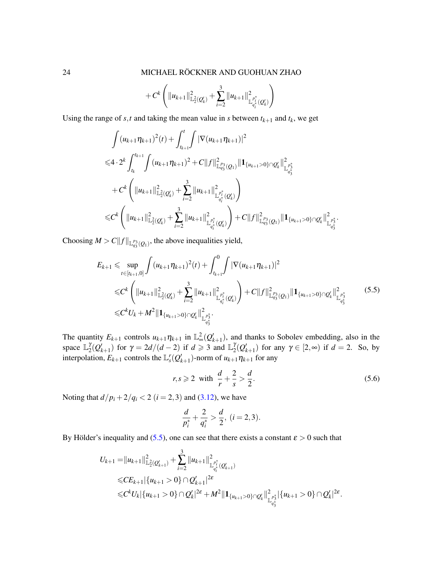$$
+ C^{k}\left(\|u_{k+1}\|_{\mathbb{L}_{2}^{2}(Q'_{k})}^{2}+\sum_{i=2}^{3}\|u_{k+1}\|_{\mathbb{L}_{q_{i}^{\ast}}^{p_{i}^{\ast}}(Q'_{k})}^{2}\right)
$$

Using the range of *s*,*t* and taking the mean value in *s* between  $t_{k+1}$  and  $t_k$ , we get

$$
\int (u_{k+1}\eta_{k+1})^2(t) + \int_{t_{k+1}}^t \int |\nabla(u_{k+1}\eta_{k+1})|^2
$$
  
\n
$$
\leq 4 \cdot 2^k \int_{t_k}^{t_{k+1}} \int (u_{k+1}\eta_{k+1})^2 + C \|f\|_{\mathbb{L}_{q_3}^{p_3}(Q_1)}^2 \|1_{\{u_{k+1}>0\}\cap Q_k'}\|_{\mathbb{L}_{q_3^*}^{p_3^*}}^2
$$
  
\n
$$
+ C^k \left( \|u_{k+1}\|_{\mathbb{L}_2^2(Q_k')}^2 + \sum_{i=2}^3 \|u_{k+1}\|_{\mathbb{L}_{q_i^*}^{p_i^*}(Q_k')}^2 \right)
$$
  
\n
$$
\leq C^k \left( \|u_{k+1}\|_{\mathbb{L}_2^2(Q_k')}^2 + \sum_{i=2}^3 \|u_{k+1}\|_{\mathbb{L}_{q_i^*}^{p_1^*}(Q_k')}^2 \right) + C \|f\|_{\mathbb{L}_{q_3}^{p_3}(Q_1)}^2 \|1_{\{u_{k+1}>0\}\cap Q_k'}\|_{\mathbb{L}_{q_3^*}^{p_3^*}}^2
$$

Choosing  $M > C ||f||_{\mathbb{L}_{q_3}^{p_3}(Q_1)}$ , the above inequalities yield,

<span id="page-23-0"></span>
$$
E_{k+1} \leq \sup_{t \in [t_{k+1},0]} \int (u_{k+1} \eta_{k+1})^2(t) + \int_{t_{k+1}}^0 \int |\nabla(u_{k+1} \eta_{k+1})|^2
$$
  
\n
$$
\leq C^k \left( \|u_{k+1}\|_{\mathbb{L}_2^2(Q'_k)}^2 + \sum_{i=2}^3 \|u_{k+1}\|_{\mathbb{L}_{q_i^*}^{p_i^*}(Q'_k)}^2 \right) + C \|f\|_{\mathbb{L}_{q_3}^{p_3}(Q_1)}^2 \|1_{\{u_{k+1}>0\} \cap Q'_k}\|_{\mathbb{L}_{q_3^*}^{p_3^*}}^2
$$
\n
$$
\leq C^k U_k + M^2 \|1_{\{u_{k+1}>0\} \cap Q'_k}\|_{\mathbb{L}_{q_3^*}^{p_3^*}}^2.
$$
\n(5.5)

The quantity  $E_{k+1}$  controls  $u_{k+1}\eta_{k+1}$  in  $\mathbb{L}_{\infty}^2(Q'_{k+1})$ , and thanks to Sobolev embedding, also in the space  $\mathbb{L}_2^{\gamma}$  $\int_{2}^{\gamma} (Q'_{k+1})$  for  $\gamma = 2d/(d-2)$  if  $d \geq 3$  and  $\mathbb{L}_2^{\gamma}$  $\gamma^{\gamma}_{2}(\mathcal{Q}'_{k+1})$  for any  $\gamma \in [2, \infty)$  if  $d = 2$ . So, by interpolation,  $E_{k+1}$  controls the  $\mathbb{L}_{s}^{r}(Q'_{k+1})$ -norm of  $u_{k+1}\eta_{k+1}$  for any

$$
r, s \geqslant 2 \quad \text{with} \quad \frac{d}{r} + \frac{2}{s} > \frac{d}{2}.\tag{5.6}
$$

.

Noting that  $d/p_i + 2/q_i < 2$  ( $i = 2,3$ ) and [\(3.12\)](#page-11-6), we have

$$
\frac{d}{p_i^*} + \frac{2}{q_i^*} > \frac{d}{2}, \ (i = 2, 3).
$$

By Hölder's inequality and ([5.5\)](#page-23-0), one can see that there exists a constant  $\varepsilon > 0$  such that

$$
U_{k+1} = ||u_{k+1}||_{\mathbb{L}_2^2(Q_{k+1}')}^2 + \sum_{i=2}^3 ||u_{k+1}||_{\mathbb{L}_{q_i^*}^{p_i^*}(Q_{k+1}')}^2
$$
  
\n
$$
\leq C E_{k+1} |\{u_{k+1} > 0\} \cap Q_{k+1}'|^{2\epsilon}
$$
  
\n
$$
\leq C^k U_k |\{u_{k+1} > 0\} \cap Q_k'|^{2\epsilon} + M^2 ||1_{\{u_{k+1} > 0\} \cap Q_k'} ||_{\mathbb{L}_{q_3^*}^{p_3^*}}^2 |\{u_{k+1} > 0\} \cap Q_k'|^{2\epsilon}.
$$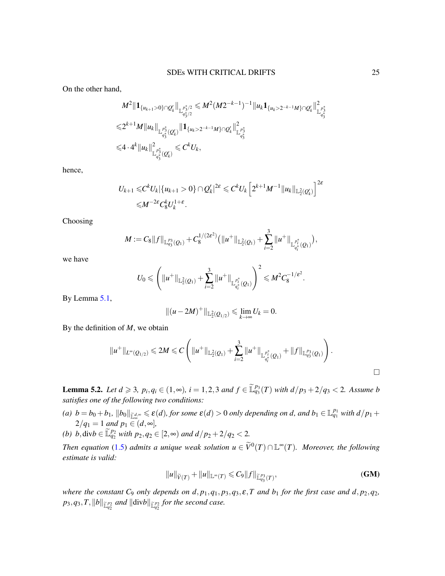On the other hand,

$$
M^{2} \|1_{\{u_{k+1}>0\}\cap Q'_{k}}\|_{\mathbb{L}^{p_{3/2}^{*}}_{q_{3/2}^{*}}} \leqslant M^{2} (M 2^{-k-1})^{-1} \|u_{k} 1_{\{u_{k}>2^{-k-1}M\}\cap Q'_{k}}\|_{\mathbb{L}^{p_{3}^{*}}_{q_{3}^{*}}}^{2}
$$
  

$$
\leqslant 2^{k+1} M \|u_{k}\|_{\mathbb{L}^{p_{3}^{*}}_{q_{3}^{*}}(Q'_{k})}\|1_{\{u_{k}>2^{-k-1}M\}\cap Q'_{k}}\|_{\mathbb{L}^{p_{3}^{*}}_{q_{3}^{*}}}^{2}
$$
  

$$
\leqslant 4 \cdot 4^{k} \|u_{k}\|_{\mathbb{L}^{p_{3}^{*}}_{q_{3}^{*}}(Q'_{k})}^{2} \leqslant C^{k} U_{k},
$$

hence,

$$
U_{k+1} \leq C^k U_k |\{u_{k+1} > 0\} \cap Q'_k|^{2\epsilon} \leq C^k U_k \left[ 2^{k+1} M^{-1} ||u_k||_{L_2^2(Q'_k)} \right]^{2\epsilon}
$$
  
 
$$
\leq M^{-2\epsilon} C_8^k U_k^{1+\epsilon}.
$$

Choosing

$$
M := C_8 ||f||_{\mathbb{L}_{q_3}^{p_3}(Q_1)} + C_8^{1/(2\varepsilon^2)} (||u^+||_{\mathbb{L}_2^2(Q_1)} + \sum_{i=2}^3 ||u^+||_{\mathbb{L}_{q_i^*}^{p_i^*}(Q_1)}),
$$

we have

$$
U_0 \leqslant \left( \|u^+\|_{\mathbb{L}_2^2(Q_1)} + \sum_{i=2}^3 \|u^+\|_{\mathbb{L}_{q_i^*}^{p_i^*}(Q_1)} \right)^2 \leqslant M^2 C_8^{-1/\varepsilon^2}.
$$

By Lemma [5.1,](#page-22-1)

$$
||(u-2M)^+||_{\mathbb{L}_2^2(Q_{1/2})}\leq \lim_{k\to\infty}U_k=0.
$$

By the definition of *M*, we obtain

$$
||u^+||_{L^{\infty}(Q_{1/2})} \le 2M \le C \left( ||u^+||_{\mathbb{L}_2^2(Q_1)} + \sum_{i=2}^3 ||u^+||_{\mathbb{L}_{q_i^*}^{p_i^*}(Q_1)} + ||f||_{\mathbb{L}_{q_3^*}^{p_3}(Q_1)} \right).
$$

<span id="page-24-0"></span>**Lemma 5.2.** *Let d* ≥ 3*,*  $p_i, q_i$  ∈ (1,∞)*, i* = 1,2,3 *and*  $f$  ∈  $\tilde{\mathbb{L}}_{q_3}^{p_3}(T)$  *with*  $d/p_3 + 2/q_3$  < 2*.* Assume *b satisfies one of the following two conditions:*

- (a)  $b = b_0 + b_1$ ,  $||b_0||_{\tilde{L}^{d,\infty}} \le \varepsilon(d)$ , for some  $\varepsilon(d) > 0$  only depending on d, and  $b_1 \in \mathbb{L}^{p_1}_{q_1}$  with  $d/p_1 +$  $2/q_1 = 1$  *and*  $p_1 \in (d, \infty)$ ,
- *(b) b*, div $b \in \mathbb{L}_{q_2}^{p_2}$  *with*  $p_2, q_2 \in [2, ∞)$  *and*  $d/p_2 + 2/q_2 < 2$ *.*

*Then equation* [\(1.5\)](#page-2-1) *admits a unique weak solution*  $u \in \widetilde{V}^0(T) \cap \mathbb{L}^{\infty}(T)$ *. Moreover, the following estimate is valid:*

$$
||u||_{\widetilde{V}(T)} + ||u||_{\mathbb{L}^{\infty}(T)} \leq C_9 ||f||_{\widetilde{\mathbb{L}}_{q_3}^{p_3}(T)},
$$
\n(GM)

*where the constant*  $C_9$  *only depends on d,*  $p_1$ *,*  $q_1$ *,*  $p_3$ *,*  $q_3$ *,*  $\varepsilon$ *,*  $T$  *<i>and*  $b_1$  *for the first case and d,*  $p_2$ *,*  $q_2$ *,*  $p_3, q_3, T, \|b\|_{\widetilde{\mathbb{L}}^{p_2}_{q_2}}$  and  $\|{\rm div}b\|_{\widetilde{\mathbb{L}}^{p_2}_{q_2}}$  for the second case.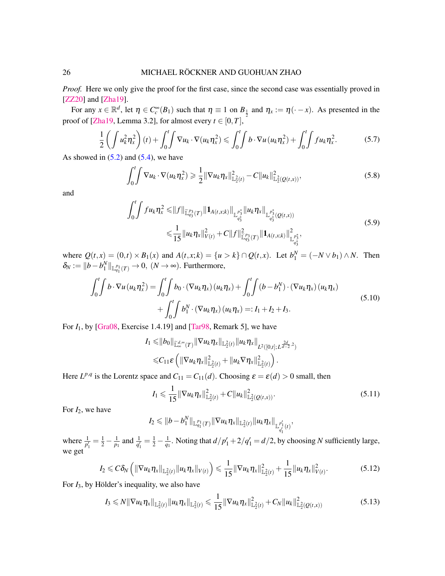*Proof.* Here we only give the proof for the first case, since the second case was essentially proved in [\[ZZ20\]](#page-28-0) and [\[Zha19\]](#page-28-1).

For any  $x \in \mathbb{R}^d$ , let  $\eta \in C_c^{\infty}(B_1)$  such that  $\eta \equiv 1$  on  $B_1$  and  $\eta_x := \eta(\cdot - x)$ . As presented in the proof of [\[Zha19,](#page-28-1) Lemma 3.2], for almost every  $t \in [0, T]$ ,

$$
\frac{1}{2}\left(\int u_k^2 \eta_x^2\right)(t) + \int_0^t \int \nabla u_k \cdot \nabla (u_k \eta_x^2) \leq \int_0^t \int b \cdot \nabla u \left(u_k \eta_x^2\right) + \int_0^t \int f u_k \eta_x^2. \tag{5.7}
$$

As showed in  $(5.2)$  and  $(5.4)$ , we have

<span id="page-25-0"></span>
$$
\int_0^t \int \nabla u_k \cdot \nabla (u_k \eta_x^2) \geq \frac{1}{2} \|\nabla u_k \eta_x\|_{\mathbb{L}_2^2(t)}^2 - C \|u_k\|_{\mathbb{L}_2^2(Q(t,x))}^2,
$$
\n(5.8)

and

$$
\int_{0}^{t} \int f u_{k} \eta_{x}^{2} \leq ||f||_{\widetilde{\mathbb{L}}_{q_{3}}^{p_{3}}(T)} ||\mathbf{1}_{A(t,x;k)}||_{\mathbb{L}_{q_{3}}^{p_{3}^{*}}} ||u_{k} \eta_{x}||_{\mathbb{L}_{q_{3}^{*}}^{p_{3}^{*}}(Q(t,x))}
$$
\n
$$
\leq \frac{1}{15} ||u_{k} \eta_{x}||_{V(t)}^{2} + C ||f||_{\widetilde{\mathbb{L}}_{q_{3}^{*}}^{p_{3}}(T)}^{2} ||\mathbf{1}_{A(t,x;k)}||_{\mathbb{L}_{q_{3}^{*}}^{p_{3}^{*}}}^{2},
$$
\n(5.9)

where  $Q(t, x) = (0, t) \times B_1(x)$  and  $A(t, x; k) = \{u > k\} \cap Q(t, x)$ . Let  $b_1^N = (-N \vee b_1) \wedge N$ . Then  $\delta_N := ||b - b_1^N||_{\mathbb{L}_{q_1}^{p_1}(T)} \to 0$ ,  $(N \to \infty)$ . Furthermore,

$$
\int_0^t \int b \cdot \nabla u \left( u_k \eta_x^2 \right) = \int_0^t \int b_0 \cdot (\nabla u_k \eta_x) \left( u_k \eta_x \right) + \int_0^t \int \left( b - b_1^N \right) \cdot (\nabla u_k \eta_x) \left( u_k \eta_x \right) + \int_0^t \int b_1^N \cdot (\nabla u_k \eta_x) \left( u_k \eta_x \right) =: I_1 + I_2 + I_3.
$$
\n
$$
(5.10)
$$

For  $I_1$ , by [\[Gra08,](#page-26-15) Exercise 1.4.19] and [\[Tar98,](#page-27-20) Remark 5], we have

$$
I_1 \leq ||b_0||_{\mathbb{L}^{d,\infty}_{\infty}(T)} ||\nabla u_k \eta_x||_{\mathbb{L}^2_2(t)} ||u_k \eta_x||_{L^2([0,t];L^{\frac{2d}{d-2},2})}
$$
  

$$
\leq C_{11} \varepsilon \left( ||\nabla u_k \eta_x||_{\mathbb{L}^2_2(t)}^2 + ||u_k \nabla \eta_x||_{\mathbb{L}^2_2(t)}^2 \right).
$$

Here  $L^{p,q}$  is the Lorentz space and  $C_{11} = C_{11}(d)$ . Choosing  $\varepsilon = \varepsilon(d) > 0$  small, then

$$
I_1 \leq \frac{1}{15} \|\nabla u_k \eta_x\|_{\mathbb{L}_2^2(t)}^2 + C \|u_k\|_{\mathbb{L}_2^2(Q(t,x))}^2.
$$
 (5.11)

For  $I_2$ , we have

 $I_2 \leqslant \|b-b_1^N\|_{{\mathbb L}^{p_1}_{q_1}(T)}\|\nabla u_k\eta_x\|_{{\mathbb L}^2_2(t)}\|u_k\eta_x\|_{{\mathbb L}^{p'_1}_{q'_1}(t)},$ 1

where  $\frac{1}{p'_1} = \frac{1}{2} - \frac{1}{p_1}$  and  $\frac{1}{q'_1} = \frac{1}{2} - \frac{1}{q_1}$ . Noting that  $d/p'_1 + 2/q'_1 = d/2$ , by choosing *N* sufficiently large, we get

$$
I_2 \leqslant C \delta_N \left( \|\nabla u_k \eta_x\|_{\mathbb{L}_2^2(t)} \|u_k \eta_x\|_{V(t)} \right) \leqslant \frac{1}{15} \|\nabla u_k \eta_x\|_{\mathbb{L}_2^2(t)}^2 + \frac{1}{15} \|u_k \eta_x\|_{V(t)}^2. \tag{5.12}
$$

For  $I_3$ , by Hölder's inequality, we also have

<span id="page-25-1"></span>
$$
I_3 \leq N \|\nabla u_k \eta_x\|_{\mathbb{L}^2_2(t)} \|u_k \eta_x\|_{\mathbb{L}^2_2(t)} \leq \frac{1}{15} \|\nabla u_k \eta_x\|_{\mathbb{L}^2_2(t)}^2 + C_N \|u_k\|_{\mathbb{L}^2_2(Q(t,x))}^2
$$
\n(5.13)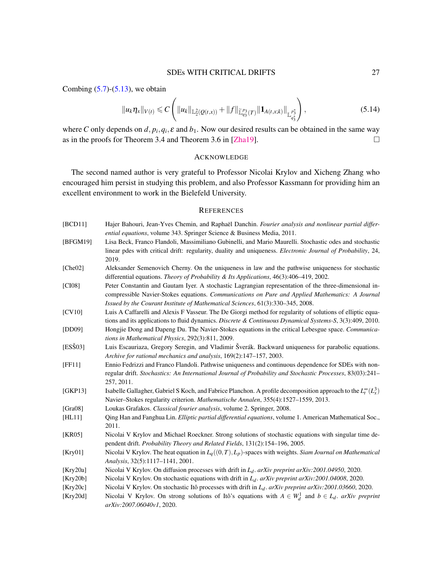Combing  $(5.7)$ - $(5.13)$ , we obtain

$$
||u_{k}\eta_{x}||_{V(t)} \leq C\left(||u_{k}||_{\mathbb{L}_{2}^{2}(Q(t,x))}+||f||_{\widetilde{\mathbb{L}}_{q_{3}}^{p_{3}}(T)}||\mathbf{1}_{A(t,x,k)}||_{\mathbb{L}_{q_{3}}^{p_{3}^*}}\right),\tag{5.14}
$$

where *C* only depends on  $d$ ,  $p_i$ ,  $q_i$ ,  $\varepsilon$  and  $b_1$ . Now our desired results can be obtained in the same way as in the proofs for Theorem 3.4 and Theorem 3.6 in [\[Zha19\]](#page-28-1).  $\Box$ 

#### ACKNOWLEDGE

The second named author is very grateful to Professor Nicolai Krylov and Xicheng Zhang who encouraged him persist in studying this problem, and also Professor Kassmann for providing him an excellent environment to work in the Bielefeld University.

#### **REFERENCES**

- <span id="page-26-14"></span>[BCD11] Hajer Bahouri, Jean-Yves Chemin, and Raphaël Danchin. *Fourier analysis and nonlinear partial differential equations*, volume 343. Springer Science & Business Media, 2011.
- <span id="page-26-2"></span>[BFGM19] Lisa Beck, Franco Flandoli, Massimiliano Gubinelli, and Mario Maurelli. Stochastic odes and stochastic linear pdes with critical drift: regularity, duality and uniqueness. *Electronic Journal of Probability*, 24, 2019.
- <span id="page-26-11"></span>[Che02] Aleksander Semenovich Cherny. On the uniqueness in law and the pathwise uniqueness for stochastic differential equations. *Theory of Probability & Its Applications*, 46(3):406–419, 2002.
- <span id="page-26-10"></span>[CI08] Peter Constantin and Gautam Iyer. A stochastic Lagrangian representation of the three-dimensional incompressible Navier-Stokes equations. *Communications on Pure and Applied Mathematics: A Journal Issued by the Courant Institute of Mathematical Sciences*, 61(3):330–345, 2008.
- <span id="page-26-12"></span>[CV10] Luis A Caffarelli and Alexis F Vasseur. The De Giorgi method for regularity of solutions of elliptic equations and its applications to fluid dynamics. *Discrete & Continuous Dynamical Systems-S*, 3(3):409, 2010.
- <span id="page-26-8"></span>[DD09] Hongjie Dong and Dapeng Du. The Navier-Stokes equations in the critical Lebesgue space. *Communications in Mathematical Physics*, 292(3):811, 2009.
- <span id="page-26-7"></span>[ESŠ03] Luis Escauriaza, Gregory Seregin, and Vladimir Šverák. Backward uniqueness for parabolic equations. *Archive for rational mechanics and analysis*, 169(2):147–157, 2003.
- <span id="page-26-1"></span>[FF11] Ennio Fedrizzi and Franco Flandoli. Pathwise uniqueness and continuous dependence for SDEs with nonregular drift. *Stochastics: An International Journal of Probability and Stochastic Processes*, 83(03):241– 257, 2011.
- <span id="page-26-9"></span>[GKP13] Isabelle Gallagher, Gabriel S Koch, and Fabrice Planchon. A profile decomposition approach to the  $L_t^{\infty}$   $(L_x^3)$ Navier–Stokes regularity criterion. *Mathematische Annalen*, 355(4):1527–1559, 2013.
- <span id="page-26-15"></span>[Gra08] Loukas Grafakos. *Classical fourier analysis*, volume 2. Springer, 2008.
- <span id="page-26-16"></span>[HL11] Qing Han and Fanghua Lin. *Elliptic partial differential equations*, volume 1. American Mathematical Soc., 2011.
- <span id="page-26-0"></span>[KR05] Nicolai V Krylov and Michael Roeckner. Strong solutions of stochastic equations with singular time dependent drift. *Probability Theory and Related Fields*, 131(2):154–196, 2005.
- <span id="page-26-13"></span>[Kry01] Nicolai V Krylov. The heat equation in *Lq*((0,*T*),*Lp*)-spaces with weights. *Siam Journal on Mathematical Analysis*, 32(5):1117–1141, 2001.
- <span id="page-26-6"></span>[Kry20a] Nicolai V Krylov. On diffusion processes with drift in *Ld*. *arXiv preprint arXiv:2001.04950*, 2020.
- <span id="page-26-4"></span>[Kry20b] Nicolai V Krylov. On stochastic equations with drift in *Ld*. *arXiv preprint arXiv:2001.04008*, 2020.
- <span id="page-26-5"></span>[Kry20c] Nicolai V Krylov. On stochastic Itô processes with drift in *L<sub>d</sub>. arXiv preprint arXiv:2001.03660*, 2020.
- <span id="page-26-3"></span>[Kry20d] Nicolai V Krylov. On strong solutions of Itô's equations with  $A \in W_d^1$  and  $b \in L_d$ . *arXiv preprint arXiv:2007.06040v1*, 2020.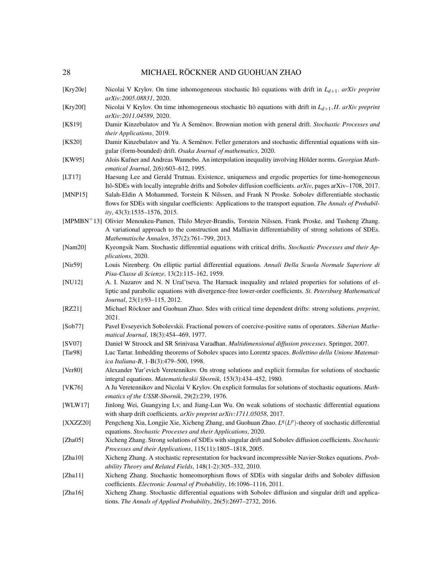#### 28 MICHAEL RÖCKNER AND GUOHUAN ZHAO

- <span id="page-27-12"></span>[Kry20e] Nicolai V Krylov. On time inhomogeneous stochastic Ito equations with drift in ˆ *Ld*+1. *arXiv preprint arXiv:2005.08831*, 2020.
- <span id="page-27-13"></span>[Kry20f] Nicolai V Krylov. On time inhomogeneous stochastic Ito equations with drift in ˆ *Ld*+1,*II*. *arXiv preprint arXiv:2011.04589*, 2020.
- <span id="page-27-10"></span>[KS19] Damir Kinzebulatov and Yu A Semenov. Brownian motion with general drift. Stochastic Processes and *their Applications*, 2019.
- <span id="page-27-11"></span>[KS20] Damir Kinzebulatov and Yu. A Semenov. Feller generators and stochastic differential equations with singular (form-bounded) drift. *Osaka Journal of mathematics*, 2020.
- <span id="page-27-18"></span>[KW95] Alois Kufner and Andreas Wannebo. An interpolation inequality involving Hölder norms. Georgian Math*ematical Journal*, 2(6):603–612, 1995.
- <span id="page-27-1"></span>[LT17] Haesung Lee and Gerald Trutnau. Existence, uniqueness and ergodic properties for time-homogeneous Itô-SDEs with locally integrable drifts and Sobolev diffusion coefficients.  $arXiv$ , pages arXiv–1708, 2017.
- <span id="page-27-3"></span>[MNP15] Salah-Eldin A Mohammed, Torstein K Nilssen, and Frank N Proske. Sobolev differentiable stochastic flows for SDEs with singular coefficients: Applications to the transport equation. *The Annals of Probability*, 43(3):1535–1576, 2015.
- <span id="page-27-2"></span>[MPMBN+13] Olivier Menoukeu-Pamen, Thilo Meyer-Brandis, Torstein Nilssen, Frank Proske, and Tusheng Zhang. A variational approach to the construction and Malliavin differentiability of strong solutions of SDEs. *Mathematische Annalen*, 357(2):761–799, 2013.
- <span id="page-27-7"></span>[Nam20] Kyeongsik Nam. Stochastic differential equations with critical drifts. *Stochastic Processes and their Applications*, 2020.
- <span id="page-27-17"></span>[Nir59] Louis Nirenberg. On elliptic partial differential equations. *Annali Della Scuola Normale Superiore di Pisa-Classe di Scienze*, 13(2):115–162, 1959.
- <span id="page-27-21"></span>[NU12] A. I. Nazarov and N. N Ural'tseva. The Harnack inequality and related properties for solutions of elliptic and parabolic equations with divergence-free lower-order coefficients. *St. Petersburg Mathematical Journal*, 23(1):93–115, 2012.
- <span id="page-27-16"></span>[RZ21] Michael Röckner and Guohuan Zhao. Sdes with critical time dependent drifts: strong solutions. *preprint*, 2021.
- <span id="page-27-19"></span>[Sob77] Pavel Evseyevich Sobolevskii. Fractional powers of coercive-positive sums of operators. *Siberian Mathematical Journal*, 18(3):454–469, 1977.
- <span id="page-27-22"></span>[SV07] Daniel W Stroock and SR Srinivasa Varadhan. *Multidimensional diffusion processes*. Springer, 2007.
- <span id="page-27-20"></span>[Tar98] Luc Tartar. Imbedding theorems of Sobolev spaces into Lorentz spaces. *Bollettino della Unione Matematica Italiana-B*, 1-B(3):479–500, 1998.
- <span id="page-27-0"></span>[Ver80] Alexander Yur'evich Veretennikov. On strong solutions and explicit formulas for solutions of stochastic integral equations. *Matematicheskii Sbornik*, 153(3):434–452, 1980.
- <span id="page-27-8"></span>[VK76] A Ju Veretennikov and Nicolai V Krylov. On explicit formulas for solutions of stochastic equations. *Mathematics of the USSR-Sbornik*, 29(2):239, 1976.
- <span id="page-27-9"></span>[WLW17] Jinlong Wei, Guangying Lv, and Jiang-Lun Wu. On weak solutions of stochastic differential equations with sharp drift coefficients. *arXiv preprint arXiv:1711.05058*, 2017.
- <span id="page-27-4"></span>[XXZZ20] Pengcheng Xia, Longjie Xie, Xicheng Zhang, and Guohuan Zhao.  $L^q(L^p)$ -theory of stochastic differential equations. *Stochastic Processes and their Applications*, 2020.
- <span id="page-27-5"></span>[Zha05] Xicheng Zhang. Strong solutions of SDEs with singular drift and Sobolev diffusion coefficients. *Stochastic Processes and their Applications*, 115(11):1805–1818, 2005.
- <span id="page-27-15"></span>[Zha10] Xicheng Zhang. A stochastic representation for backward incompressible Navier-Stokes equations. *Probability Theory and Related Fields*, 148(1-2):305–332, 2010.
- <span id="page-27-6"></span>[Zha11] Xicheng Zhang. Stochastic homeomorphism flows of SDEs with singular drifts and Sobolev diffusion coefficients. *Electronic Journal of Probability*, 16:1096–1116, 2011.
- <span id="page-27-14"></span>[Zha16] Xicheng Zhang. Stochastic differential equations with Sobolev diffusion and singular drift and applications. *The Annals of Applied Probability*, 26(5):2697–2732, 2016.